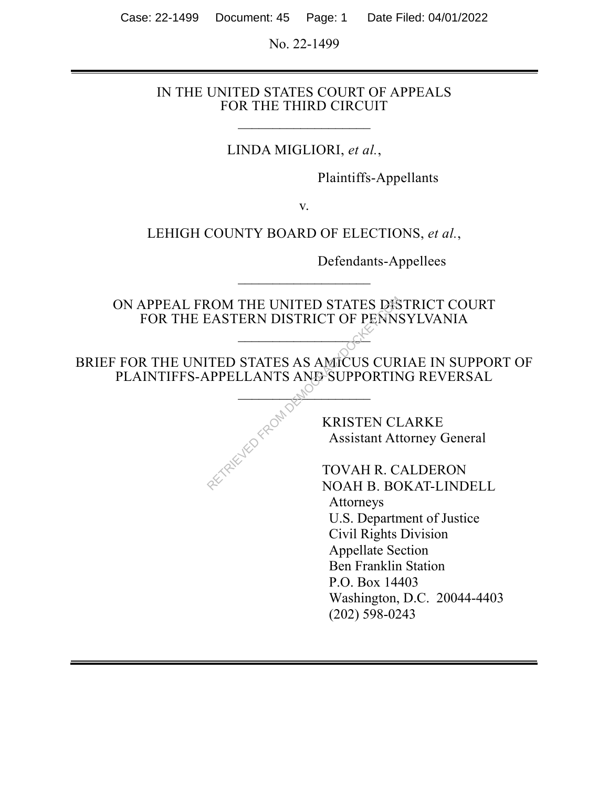Case: 22-1499 Document: 45 Page: 1 Date Filed: 04/01/2022

No. 22-1499

#### IN THE UNITED STATES COURT OF APPEALS FOR THE THIRD CIRCUIT

 $\overline{\phantom{a}}$  , where  $\overline{\phantom{a}}$ 

LINDA MIGLIORI, *et al.*,

Plaintiffs-Appellants

v.

LEHIGH COUNTY BOARD OF ELECTIONS, *et al.*,

Defendants-Appellees

ON APPEAL FROM THE UNITED STATES DISTRICT COURT FOR THE EASTERN DISTRICT OF PENNSYLVANIA RETRIEVED STATES DESENSEDED STATES AS AMICUS CURPPELLANTS AND SUPPORTINT MARIEM CONSTRUCT OF PENNS<br>
TED STATES AS AMICUS CURPPELLANTS AND SUPPORTINT MARIEM CLASS ASSESS AND MARIEM CLASS ASSESS AND MOVAH R. C. NOAH B. BC

 $\mathcal{L}_{\mathcal{D}}$ 

 $\overline{\phantom{a}}$  , where  $\overline{\phantom{a}}$ 

BRIEF FOR THE UNITED STATES AS AMICUS CURIAE IN SUPPORT OF PLAINTIFFS-APPELLANTS AND SUPPORTING REVERSAL

 $\mathcal{M}^{\text{O}}$ 

L

 KRISTEN CLARKE Assistant Attorney General

 TOVAH R. CALDERON NOAH B. BOKAT-LINDELL Attorneys U.S. Department of Justice Civil Rights Division Appellate Section Ben Franklin Station P.O. Box 14403 Washington, D.C. 20044-4403 (202) 598-0243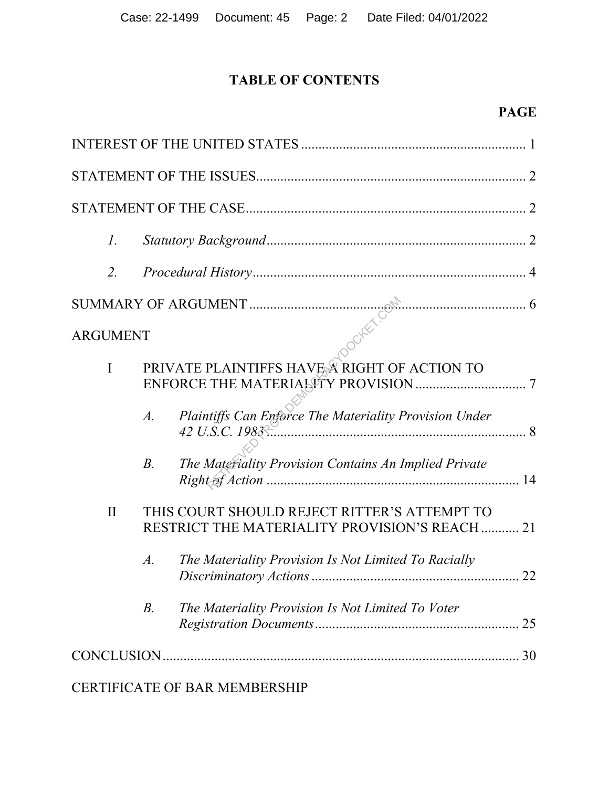# **TABLE OF CONTENTS**

| $\mathcal{I}$ .                                                                                                  |
|------------------------------------------------------------------------------------------------------------------|
| 2.                                                                                                               |
|                                                                                                                  |
|                                                                                                                  |
| PRIVATE PLAINTIFFS HAVE A RIGHT OF ACTION TO<br>$\mathbf I$                                                      |
| Plaintiffs Can Enforce The Materiality Provision Under<br>$A$ .                                                  |
| The Materiality Provision Contains An Implied Private<br>$B$ .                                                   |
| THIS COURT SHOULD REJECT RITTER'S ATTEMPT TO<br>$\mathbf{I}$<br>RESTRICT THE MATERIALITY PROVISION'S REACH<br>21 |
| $A$ .<br>The Materiality Provision Is Not Limited To Racially<br>22<br>Discriminatory Actions                    |
| $B$ .<br>The Materiality Provision Is Not Limited To Voter<br>25                                                 |
|                                                                                                                  |

CERTIFICATE OF BAR MEMBERSHIP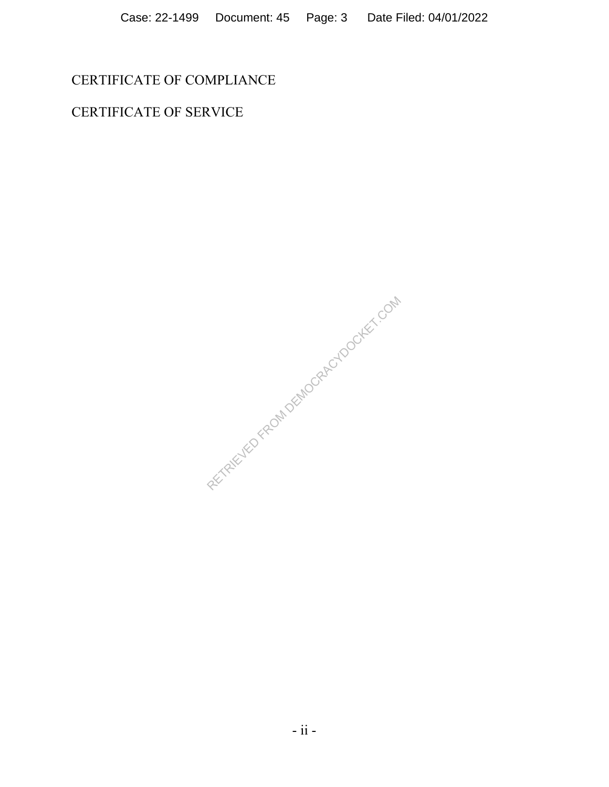CERTIFICATE OF COMPLIANCE

CERTIFICATE OF SERVICE

RETRIEVED FROM DEMOCRACYDOCKET.COM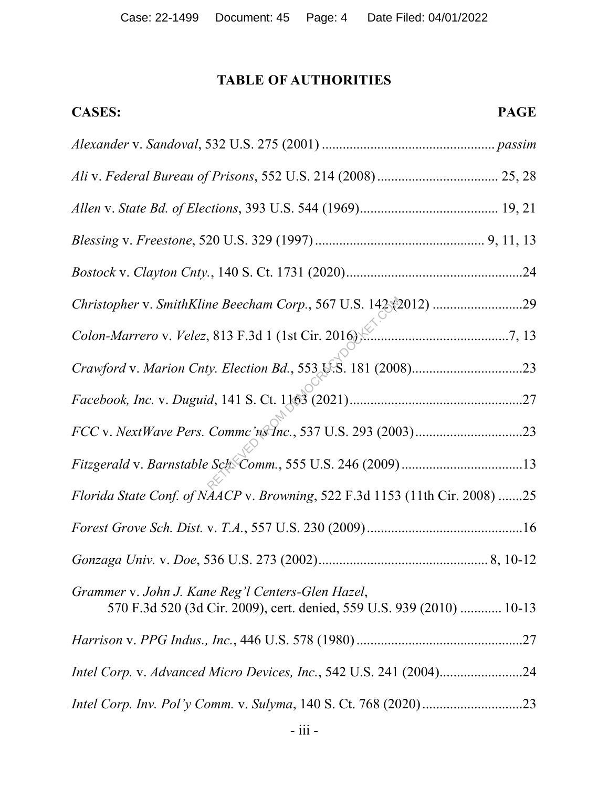# **TABLE OF AUTHORITIES**

| <b>CASES:</b>                                                                                                              | <b>PAGE</b> |
|----------------------------------------------------------------------------------------------------------------------------|-------------|
|                                                                                                                            |             |
|                                                                                                                            |             |
|                                                                                                                            |             |
|                                                                                                                            |             |
|                                                                                                                            |             |
| Christopher v. SmithKline Beecham Corp., 567 U.S. 142 (2012) 29                                                            |             |
|                                                                                                                            |             |
|                                                                                                                            |             |
|                                                                                                                            |             |
|                                                                                                                            |             |
| Fitzgerald v. Barnstable Sch Comm., 555 U.S. 246 (2009) 13                                                                 |             |
| Florida State Conf. of NAACP v. Browning, 522 F.3d 1153 (11th Cir. 2008) 25                                                |             |
|                                                                                                                            |             |
|                                                                                                                            |             |
| Grammer v. John J. Kane Reg'l Centers-Glen Hazel,<br>570 F.3d 520 (3d Cir. 2009), cert. denied, 559 U.S. 939 (2010)  10-13 |             |
|                                                                                                                            |             |
| Intel Corp. v. Advanced Micro Devices, Inc., 542 U.S. 241 (2004)24                                                         |             |
|                                                                                                                            |             |
|                                                                                                                            |             |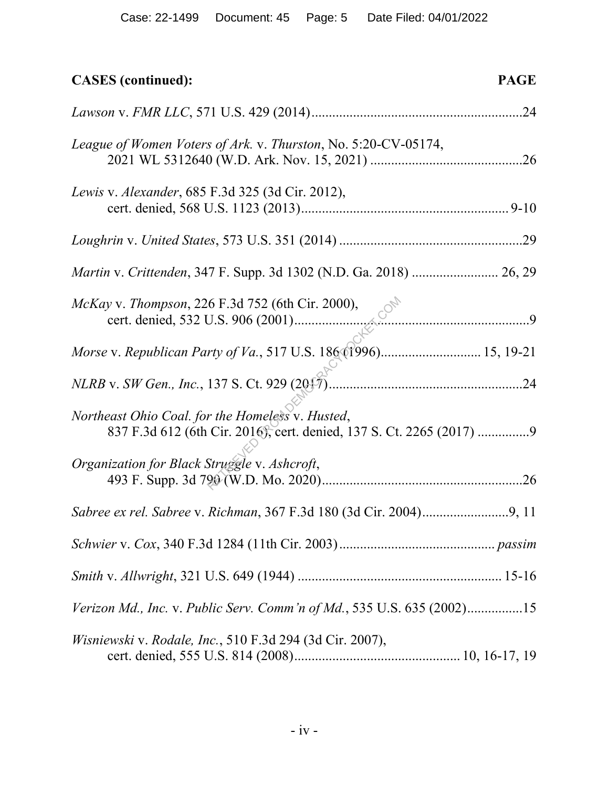| <b>CASES</b> (continued):                                                                                                | <b>PAGE</b> |
|--------------------------------------------------------------------------------------------------------------------------|-------------|
|                                                                                                                          |             |
| League of Women Voters of Ark. v. Thurston, No. 5:20-CV-05174,                                                           |             |
| Lewis v. Alexander, 685 F.3d 325 (3d Cir. 2012),                                                                         |             |
|                                                                                                                          |             |
|                                                                                                                          |             |
|                                                                                                                          |             |
| Morse v. Republican Party of Va., 517 U.S. 186 (1996) 15, 19-21                                                          |             |
|                                                                                                                          |             |
| Northeast Ohio Coal. for the Homeless v. Husted,<br>837 F.3d 612 (6th Cir. 2016), cert. denied, 137 S. Ct. 2265 (2017) 9 |             |
| Organization for Black Struggle v. Ashcroft,                                                                             |             |
|                                                                                                                          |             |
|                                                                                                                          |             |
|                                                                                                                          |             |
| Verizon Md., Inc. v. Public Serv. Comm'n of Md., 535 U.S. 635 (2002)15                                                   |             |
| Wisniewski v. Rodale, Inc., 510 F.3d 294 (3d Cir. 2007),                                                                 |             |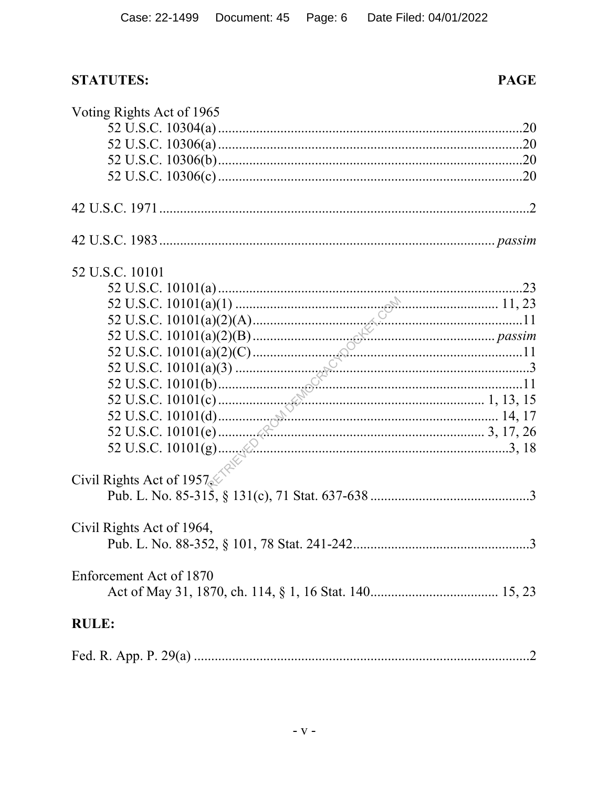**PAGE** 

# **STATUTES:**

| Voting Rights Act of 1965                                                                                                                                                                                                                                                                                                      |  |
|--------------------------------------------------------------------------------------------------------------------------------------------------------------------------------------------------------------------------------------------------------------------------------------------------------------------------------|--|
|                                                                                                                                                                                                                                                                                                                                |  |
|                                                                                                                                                                                                                                                                                                                                |  |
|                                                                                                                                                                                                                                                                                                                                |  |
|                                                                                                                                                                                                                                                                                                                                |  |
|                                                                                                                                                                                                                                                                                                                                |  |
|                                                                                                                                                                                                                                                                                                                                |  |
| 52 U.S.C. 10101                                                                                                                                                                                                                                                                                                                |  |
|                                                                                                                                                                                                                                                                                                                                |  |
|                                                                                                                                                                                                                                                                                                                                |  |
|                                                                                                                                                                                                                                                                                                                                |  |
|                                                                                                                                                                                                                                                                                                                                |  |
|                                                                                                                                                                                                                                                                                                                                |  |
|                                                                                                                                                                                                                                                                                                                                |  |
|                                                                                                                                                                                                                                                                                                                                |  |
|                                                                                                                                                                                                                                                                                                                                |  |
|                                                                                                                                                                                                                                                                                                                                |  |
|                                                                                                                                                                                                                                                                                                                                |  |
| $22 \text{ U.S.C. } 10101(a)(1)$<br>$11, 23$<br>52 U.S.C. $10101(a)(2)(A)$<br>$22 \text{ U.S.C. } 10101(a)(2)(B)$<br>$23 \text{ U.S.C. } 10101(a)(2)(B)$<br>$24 \text{ U.S.C. } 10101(a)(2)(B)$<br>$25 \text{ U.S.C. } 10101(a)(2)(C)$<br>$26 \text{ U.S.C. } 10101(a)(3)$<br>$35 \text{ U.S.C. } 10101(b)$<br>$1, 13, 15$<br> |  |
|                                                                                                                                                                                                                                                                                                                                |  |
| Civil Rights Act of 1957                                                                                                                                                                                                                                                                                                       |  |
|                                                                                                                                                                                                                                                                                                                                |  |
| Civil Rights Act of 1964,                                                                                                                                                                                                                                                                                                      |  |
|                                                                                                                                                                                                                                                                                                                                |  |
|                                                                                                                                                                                                                                                                                                                                |  |
| Enforcement Act of 1870                                                                                                                                                                                                                                                                                                        |  |
| <b>RULE:</b>                                                                                                                                                                                                                                                                                                                   |  |
|                                                                                                                                                                                                                                                                                                                                |  |
|                                                                                                                                                                                                                                                                                                                                |  |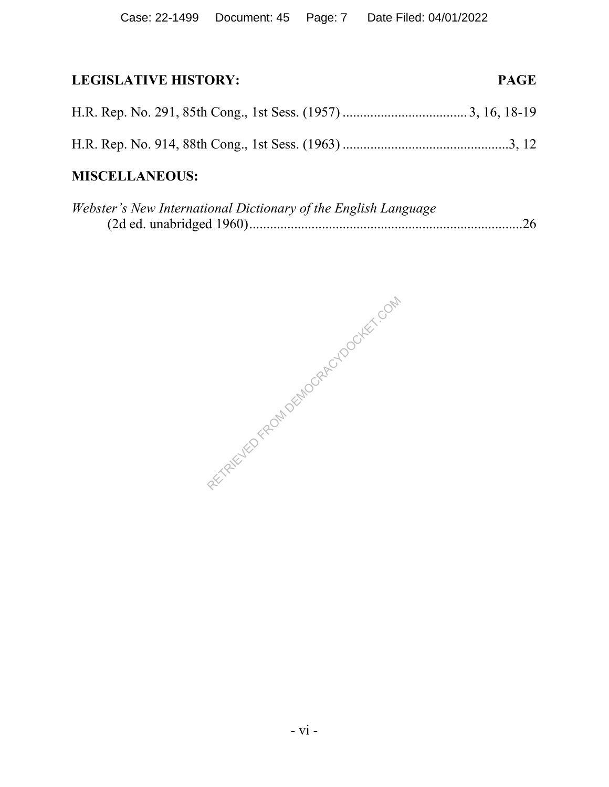# **LEGISLATIVE HISTORY: PAGE**

# **MISCELLANEOUS:**

| Webster's New International Dictionary of the English Language |  |
|----------------------------------------------------------------|--|
|                                                                |  |

RETRIEVED FROM DEMOCRACYDOCKET.COM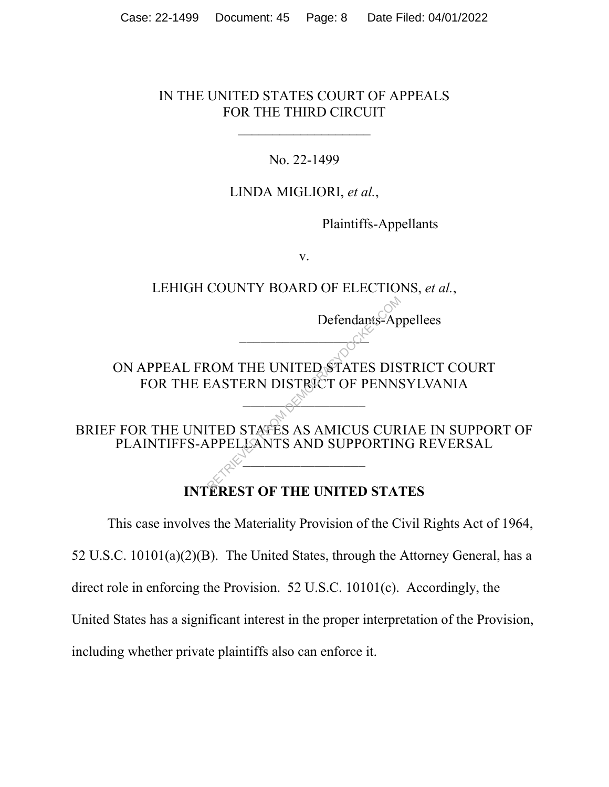#### IN THE UNITED STATES COURT OF APPEALS FOR THE THIRD CIRCUIT

 $\overline{\phantom{a}}$  , where  $\overline{\phantom{a}}$  , where  $\overline{\phantom{a}}$  , where  $\overline{\phantom{a}}$  , where  $\overline{\phantom{a}}$ 

### No. 22-1499

### LINDA MIGLIORI, *et al.*,

Plaintiffs-Appellants

Defendants-Appellees

v.

# LEHIGH COUNTY BOARD OF ELECTIONS, *et al.*,

ON APPEAL FROM THE UNITED STATES DISTRICT COURT FOR THE EASTERN DISTRICT OF PENNSYLVANIA Defendants-Ap<br>
ROM THE UNITED STATES DIS<br>
EASTERN DISTRICT OF PENNS<br>
TED STATES AS AMICUS CUR<br>
RPELLANTS AND SUPPORTIN

 $\mathbb{C}^4$ 

BRIEF FOR THE UNITED STATES AS AMICUS CURIAE IN SUPPORT OF PLAINTIFFS-APPELLANTS AND SUPPORTING REVERSAL

 $\overline{1}$ .

 $\sim$ 

# **INTEREST OF THE UNITED STATES**

This case involves the Materiality Provision of the Civil Rights Act of 1964, 52 U.S.C. 10101(a)(2)(B). The United States, through the Attorney General, has a direct role in enforcing the Provision. 52 U.S.C. 10101(c). Accordingly, the United States has a significant interest in the proper interpretation of the Provision, including whether private plaintiffs also can enforce it.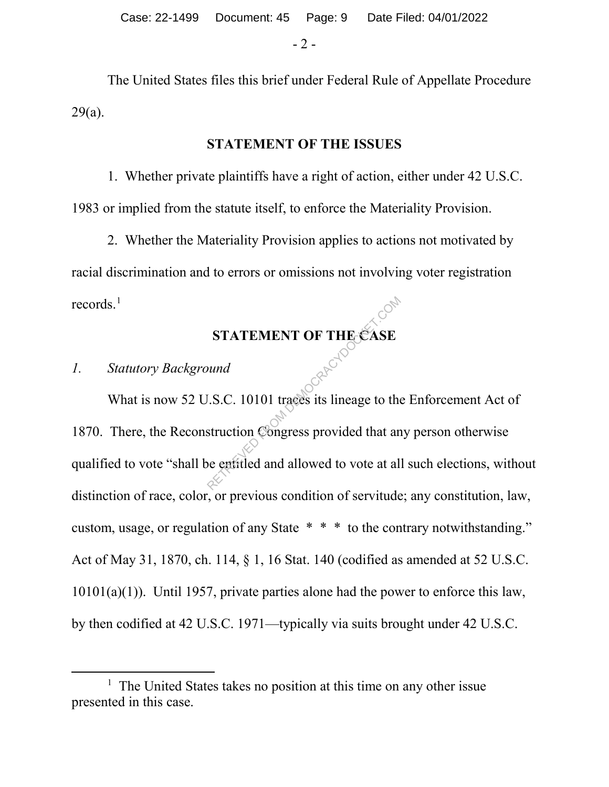- 2 -

The United States files this brief under Federal Rule of Appellate Procedure 29(a).

### **STATEMENT OF THE ISSUES**

1. Whether private plaintiffs have a right of action, either under 42 U.S.C. 1983 or implied from the statute itself, to enforce the Materiality Provision.

2. Whether the Materiality Provision applies to actions not motivated by racial discrimination and to errors or omissions not involving voter registration records. $^1$ 

# **STATEMENT OF THE CASE**

### *1. Statutory Background*

What is now 52 U.S.C. 10101 traces its lineage to the Enforcement Act of 1870. There, the Reconstruction Congress provided that any person otherwise qualified to vote "shall be entitled and allowed to vote at all such elections, without distinction of race, color, or previous condition of servitude; any constitution, law, custom, usage, or regulation of any State \* \* \* to the contrary notwithstanding." Act of May 31, 1870, ch. 114, § 1, 16 Stat. 140 (codified as amended at 52 U.S.C. 10101(a)(1)). Until 1957, private parties alone had the power to enforce this law, by then codified at 42 U.S.C. 1971—typically via suits brought under 42 U.S.C. STATEMENT OF THE CASE<br>
und<br>
U.S.C. 10101 traces its lineage to the<br>
struction Congress provided that an<br>
be entitled and allowed to vote at al

 $\overline{\phantom{a}}$  $<sup>1</sup>$  The United States takes no position at this time on any other issue</sup> presented in this case.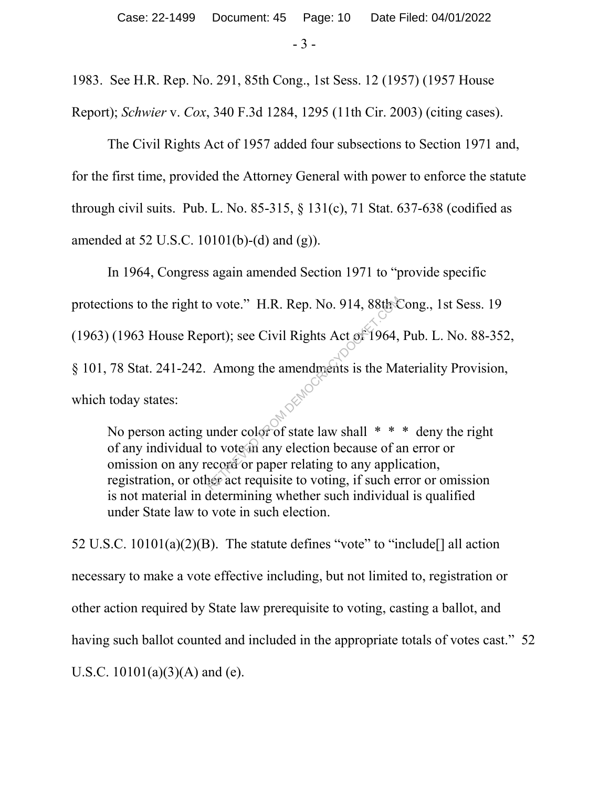- 3 -

1983. See H.R. Rep. No. 291, 85th Cong., 1st Sess. 12 (1957) (1957 House Report); *Schwier* v. *Cox*, 340 F.3d 1284, 1295 (11th Cir. 2003) (citing cases).

The Civil Rights Act of 1957 added four subsections to Section 1971 and, for the first time, provided the Attorney General with power to enforce the statute through civil suits. Pub. L. No. 85-315,  $\S$  131(c), 71 Stat. 637-638 (codified as amended at 52 U.S.C. 10101(b)-(d) and (g)).

In 1964, Congress again amended Section 1971 to "provide specific protections to the right to vote." H.R. Rep. No. 914, 88th Cong., 1st Sess. 19 (1963) (1963 House Report); see Civil Rights Act of 1964, Pub. L. No. 88-352, § 101, 78 Stat. 241-242. Among the amendments is the Materiality Provision, which today states: o vote." H.R. Rep. No. 914, 88th<br>
port); see Civil Rights Act of 1964,<br>
Among the amendments is the Ma<br>
under color of state law shall \* \*<br>
to vote in any election because of a<br>
ecord or paper relating to any applice act r

No person acting under color of state law shall  $* * *$  deny the right of any individual to vote in any election because of an error or omission on any record or paper relating to any application, registration, or other act requisite to voting, if such error or omission is not material in determining whether such individual is qualified under State law to vote in such election.

52 U.S.C.  $10101(a)(2)(B)$ . The statute defines "vote" to "include<sup>[]</sup> all action necessary to make a vote effective including, but not limited to, registration or other action required by State law prerequisite to voting, casting a ballot, and having such ballot counted and included in the appropriate totals of votes cast." 52 U.S.C.  $10101(a)(3)(A)$  and (e).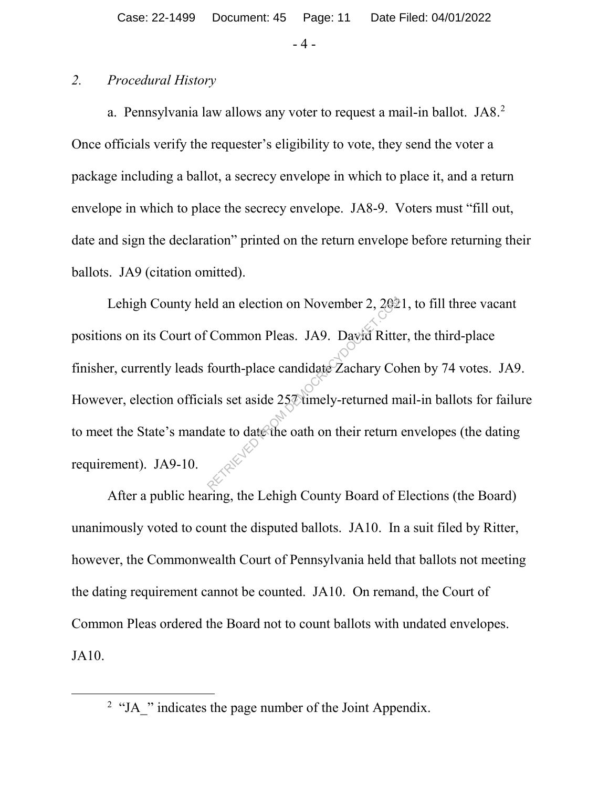- 4 -

#### *2. Procedural History*

a. Pennsylvania law allows any voter to request a mail-in ballot. JA8. 2 Once officials verify the requester's eligibility to vote, they send the voter a package including a ballot, a secrecy envelope in which to place it, and a return envelope in which to place the secrecy envelope. JA8-9. Voters must "fill out, date and sign the declaration" printed on the return envelope before returning their ballots. JA9 (citation omitted).

Lehigh County held an election on November 2, 2021, to fill three vacant positions on its Court of Common Pleas. JA9. David Ritter, the third-place finisher, currently leads fourth-place candidate Zachary Cohen by 74 votes. JA9. However, election officials set aside 257 timely-returned mail-in ballots for failure to meet the State's mandate to date the oath on their return envelopes (the dating requirement). JA9-10. Property Common Pleas. JA9. David Ritter<br>Common Pleas. JA9. David Ritter<br>fourth-place candidate Zachary Correlations and a set aside 252 timely-returned models and the contract of the contract of the contract of the contra

After a public hearing, the Lehigh County Board of Elections (the Board) unanimously voted to count the disputed ballots. JA10. In a suit filed by Ritter, however, the Commonwealth Court of Pennsylvania held that ballots not meeting the dating requirement cannot be counted. JA10. On remand, the Court of Common Pleas ordered the Board not to count ballots with undated envelopes. JA10.

 <sup>2</sup> <sup>2</sup> "JA" indicates the page number of the Joint Appendix.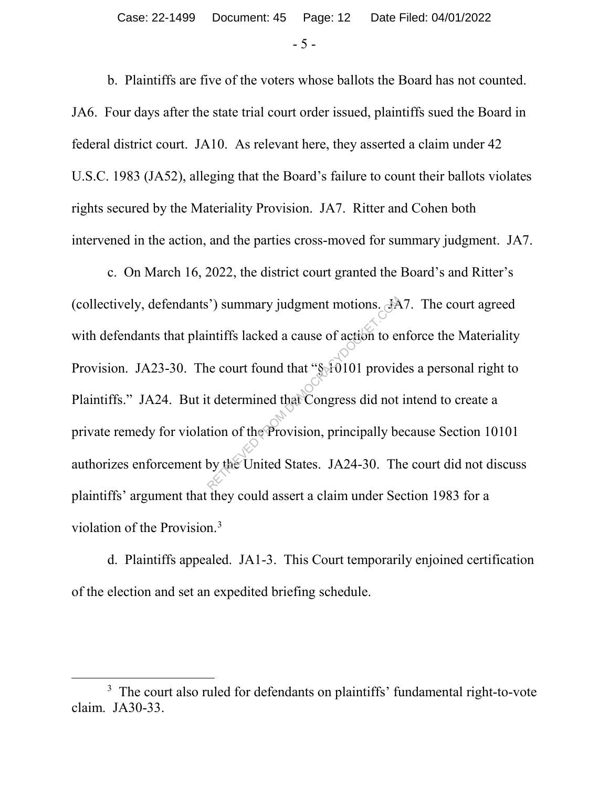- 5 -

b. Plaintiffs are five of the voters whose ballots the Board has not counted. JA6. Four days after the state trial court order issued, plaintiffs sued the Board in federal district court. JA10. As relevant here, they asserted a claim under 42 U.S.C. 1983 (JA52), alleging that the Board's failure to count their ballots violates rights secured by the Materiality Provision. JA7. Ritter and Cohen both intervened in the action, and the parties cross-moved for summary judgment. JA7.

c. On March 16, 2022, the district court granted the Board's and Ritter's (collectively, defendants') summary judgment motions. JA7. The court agreed with defendants that plaintiffs lacked a cause of action to enforce the Materiality Provision. JA23-30. The court found that "§ 10101 provides a personal right to Plaintiffs." JA24. But it determined that Congress did not intend to create a private remedy for violation of the Provision, principally because Section 10101 authorizes enforcement by the United States. JA24-30. The court did not discuss plaintiffs' argument that they could assert a claim under Section 1983 for a violation of the Provision.<sup>3</sup> Provided a cause of action to end intiffs lacked a cause of action to end the court found that "\$10101 provided telectrician demonstration of the Provision, principally be by the United States. JA24-30. The

d. Plaintiffs appealed. JA1-3. This Court temporarily enjoined certification of the election and set an expedited briefing schedule.

 $\overline{\phantom{a}}$ <sup>3</sup> The court also ruled for defendants on plaintiffs' fundamental right-to-vote claim. JA30-33.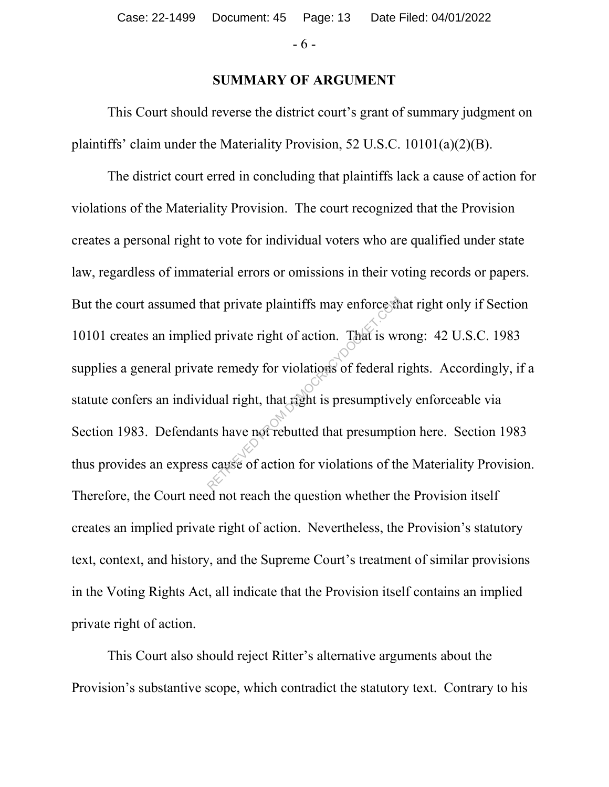- 6 -

#### **SUMMARY OF ARGUMENT**

This Court should reverse the district court's grant of summary judgment on plaintiffs' claim under the Materiality Provision, 52 U.S.C. 10101(a)(2)(B).

The district court erred in concluding that plaintiffs lack a cause of action for violations of the Materiality Provision. The court recognized that the Provision creates a personal right to vote for individual voters who are qualified under state law, regardless of immaterial errors or omissions in their voting records or papers. But the court assumed that private plaintiffs may enforce that right only if Section 10101 creates an implied private right of action. That is wrong: 42 U.S.C. 1983 supplies a general private remedy for violations of federal rights. Accordingly, if a statute confers an individual right, that right is presumptively enforceable via Section 1983. Defendants have not rebutted that presumption here. Section 1983 thus provides an express cause of action for violations of the Materiality Provision. Therefore, the Court need not reach the question whether the Provision itself creates an implied private right of action. Nevertheless, the Provision's statutory text, context, and history, and the Supreme Court's treatment of similar provisions in the Voting Rights Act, all indicate that the Provision itself contains an implied private right of action. That private plaintiffs may enforces<br>the private right of action. That is write remedy for violations of federal redular right, that right is presumptive<br>that have not rebutted that presumptive<br>cause of action for violatio

This Court also should reject Ritter's alternative arguments about the Provision's substantive scope, which contradict the statutory text. Contrary to his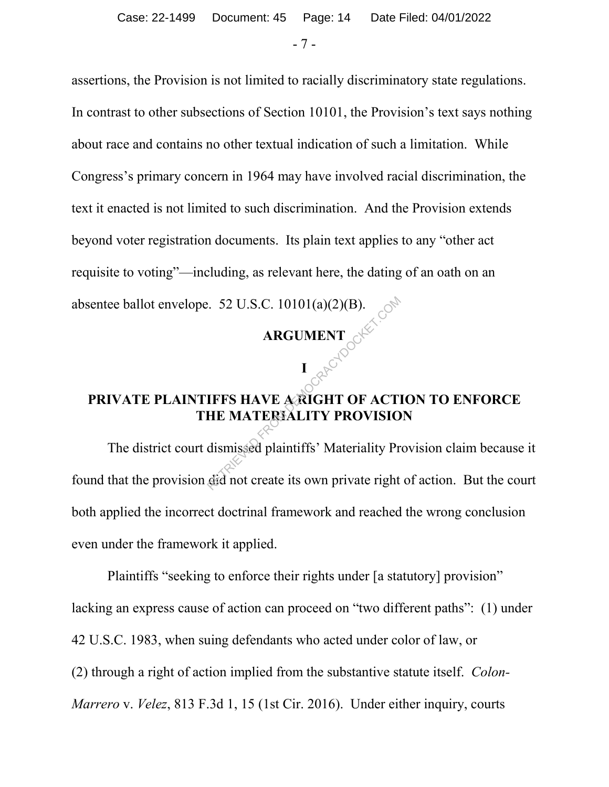- 7 -

assertions, the Provision is not limited to racially discriminatory state regulations.

In contrast to other subsections of Section 10101, the Provision's text says nothing about race and contains no other textual indication of such a limitation. While Congress's primary concern in 1964 may have involved racial discrimination, the text it enacted is not limited to such discrimination. And the Provision extends beyond voter registration documents. Its plain text applies to any "other act requisite to voting"—including, as relevant here, the dating of an oath on an absentee ballot envelope. 52 U.S.C. 10101(a)(2)(B).

# **ARGUMENT**

# **PRIVATE PLAINTIFFS HAVE A RIGHT OF ACTION TO ENFORCE THE MATERIALITY PROVISION**

**I** 

The district court dismissed plaintiffs' Materiality Provision claim because it found that the provision did not create its own private right of action. But the court both applied the incorrect doctrinal framework and reached the wrong conclusion even under the framework it applied.  $R$ . 52 U.S.C. 10101(a)(2)(B).<br>  $R$ RGUMENT<br>  $I$ <br>  $R$ <sup>C</sub><sup>O</sup><br> **IFFS HAVE ARIGHT OF ACT!**<br>
HE MATERIALITY PROVISIO<br>
dismissed plaintiffs' Materiality Pr<br>
did not create its own private right</sup>

Plaintiffs "seeking to enforce their rights under [a statutory] provision" lacking an express cause of action can proceed on "two different paths": (1) under 42 U.S.C. 1983, when suing defendants who acted under color of law, or (2) through a right of action implied from the substantive statute itself. *Colon-Marrero* v. *Velez*, 813 F.3d 1, 15 (1st Cir. 2016). Under either inquiry, courts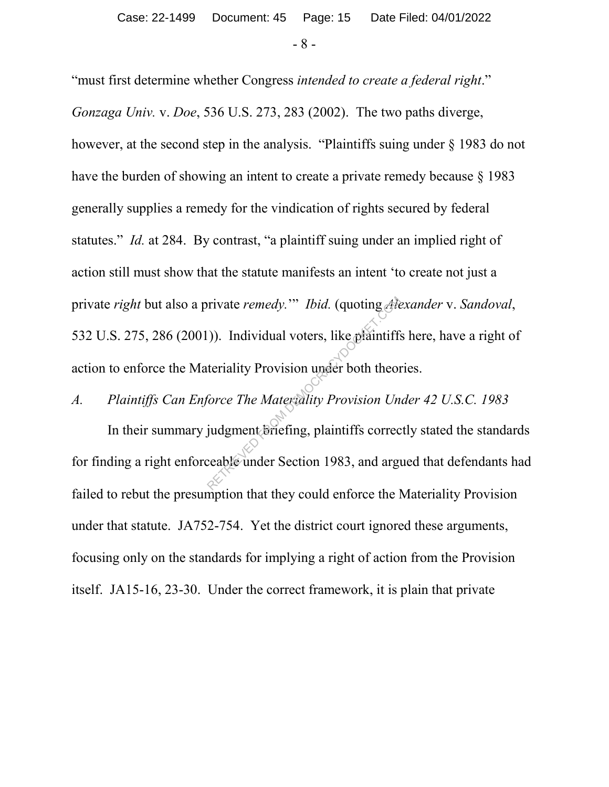- 8 -

"must first determine whether Congress *intended to create a federal right*." *Gonzaga Univ.* v. *Doe*, 536 U.S. 273, 283 (2002). The two paths diverge, however, at the second step in the analysis. "Plaintiffs suing under § 1983 do not have the burden of showing an intent to create a private remedy because  $\S$  1983 generally supplies a remedy for the vindication of rights secured by federal statutes." *Id.* at 284. By contrast, "a plaintiff suing under an implied right of action still must show that the statute manifests an intent 'to create not just a private *right* but also a private *remedy.*'" *Ibid.* (quoting *Alexander* v. *Sandoval*, 532 U.S. 275, 286 (2001)). Individual voters, like plaintiffs here, have a right of action to enforce the Materiality Provision under both theories. rivate remedy."" Ibid. (quoting Alexandry).<br>
(1). Individual voters, like plaintiffs<br>
teriality Provision under both theor<br>
force The Materiality Provision Un<br>
judgment briefing, plaintiffs correc<br>
ceable under Section 198

# *A. Plaintiffs Can Enforce The Materiality Provision Under 42 U.S.C. 1983*

In their summary judgment briefing, plaintiffs correctly stated the standards for finding a right enforceable under Section 1983, and argued that defendants had failed to rebut the presumption that they could enforce the Materiality Provision under that statute. JA752-754. Yet the district court ignored these arguments, focusing only on the standards for implying a right of action from the Provision itself. JA15-16, 23-30. Under the correct framework, it is plain that private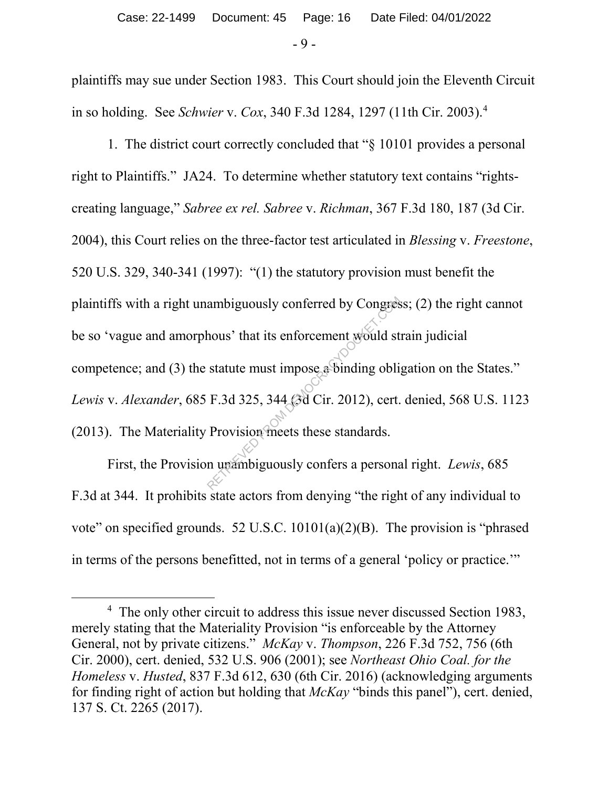- 9 -

plaintiffs may sue under Section 1983. This Court should join the Eleventh Circuit in so holding. See *Schwier* v. *Cox*, 340 F.3d 1284, 1297 (11th Cir. 2003). 4

1. The district court correctly concluded that "§ 10101 provides a personal right to Plaintiffs." JA24. To determine whether statutory text contains "rightscreating language," *Sabree ex rel. Sabree* v. *Richman*, 367 F.3d 180, 187 (3d Cir. 2004), this Court relies on the three-factor test articulated in *Blessing* v. *Freestone*, 520 U.S. 329, 340-341 (1997): "(1) the statutory provision must benefit the plaintiffs with a right unambiguously conferred by Congress; (2) the right cannot be so 'vague and amorphous' that its enforcement would strain judicial competence; and (3) the statute must impose a binding obligation on the States." *Lewis* v. *Alexander*, 685 F.3d 325, 344 (3d Cir. 2012), cert. denied, 568 U.S. 1123 (2013). The Materiality Provision meets these standards. ambiguously conferred by Congres<br>hous' that its enforcement would st<br>statute must impose a binding obli<br>F.3d 325, 344 (3d Cir. 2012), cert.<br>Provision meets these standards.<br>n unambiguously confers a persona

First, the Provision unambiguously confers a personal right. *Lewis*, 685 F.3d at 344. It prohibits state actors from denying "the right of any individual to vote" on specified grounds. 52 U.S.C. 10101(a)(2)(B). The provision is "phrased in terms of the persons benefitted, not in terms of a general 'policy or practice.'"

 $\overline{4}$ <sup>4</sup> The only other circuit to address this issue never discussed Section 1983, merely stating that the Materiality Provision "is enforceable by the Attorney General, not by private citizens." *McKay* v. *Thompson*, 226 F.3d 752, 756 (6th Cir. 2000), cert. denied, 532 U.S. 906 (2001); see *Northeast Ohio Coal. for the Homeless* v. *Husted*, 837 F.3d 612, 630 (6th Cir. 2016) (acknowledging arguments for finding right of action but holding that *McKay* "binds this panel"), cert. denied, 137 S. Ct. 2265 (2017).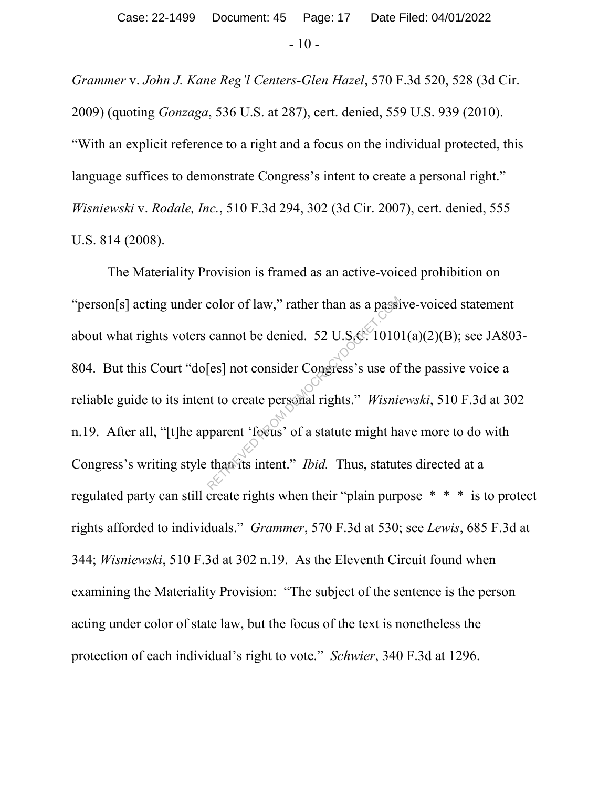*Grammer* v. *John J. Kane Reg'l Centers-Glen Hazel*, 570 F.3d 520, 528 (3d Cir. 2009) (quoting *Gonzaga*, 536 U.S. at 287), cert. denied, 559 U.S. 939 (2010). "With an explicit reference to a right and a focus on the individual protected, this language suffices to demonstrate Congress's intent to create a personal right." *Wisniewski* v. *Rodale, Inc.*, 510 F.3d 294, 302 (3d Cir. 2007), cert. denied, 555 U.S. 814 (2008).

The Materiality Provision is framed as an active-voiced prohibition on "person[s] acting under color of law," rather than as a passive-voiced statement about what rights voters cannot be denied. 52 U.S.C.  $10101(a)(2)(B)$ ; see JA803-804. But this Court "do[es] not consider Congress's use of the passive voice a reliable guide to its intent to create personal rights." *Wisniewski*, 510 F.3d at 302 n.19. After all, "[t]he apparent 'focus' of a statute might have more to do with Congress's writing style than its intent." *Ibid.* Thus, statutes directed at a regulated party can still create rights when their "plain purpose \* \* \* is to protect rights afforded to individuals." *Grammer*, 570 F.3d at 530; see *Lewis*, 685 F.3d at 344; *Wisniewski*, 510 F.3d at 302 n.19. As the Eleventh Circuit found when examining the Materiality Provision: "The subject of the sentence is the person acting under color of state law, but the focus of the text is nonetheless the protection of each individual's right to vote." *Schwier*, 340 F.3d at 1296. color of law," rather than as a passi<br>cannot be denied. 52 U.S.C. 1010<br>[es] not consider Congress's use of<br>nt to create personal rights." Wisnie<br>pparent 'fecus' of a statute might has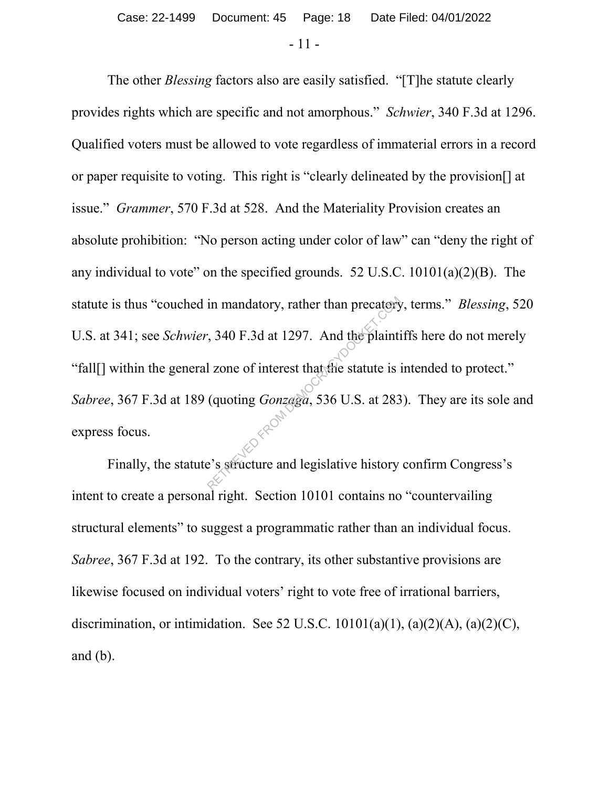- 11 -

The other *Blessing* factors also are easily satisfied. "[T]he statute clearly provides rights which are specific and not amorphous." *Schwier*, 340 F.3d at 1296. Qualified voters must be allowed to vote regardless of immaterial errors in a record or paper requisite to voting. This right is "clearly delineated by the provision[] at issue." *Grammer*, 570 F.3d at 528. And the Materiality Provision creates an absolute prohibition: "No person acting under color of law" can "deny the right of any individual to vote" on the specified grounds. 52 U.S.C.  $10101(a)(2)(B)$ . The statute is thus "couched in mandatory, rather than precatory, terms." *Blessing*, 520 U.S. at 341; see *Schwier*, 340 F.3d at 1297. And the plaintiffs here do not merely "fall[] within the general zone of interest that the statute is intended to protect." *Sabree*, 367 F.3d at 189 (quoting *Gonzaga*, 536 U.S. at 283). They are its sole and express focus. in mandatory, rather than precatery<br>  $\div$ , 340 F.3d at 1297. And the plaintif<br>
1 zone of interest that the statute is<br>
(quoting *Gonzaga*, 536 U.S. at 283<br>  $\leftrightarrow$ 

Finally, the statute's structure and legislative history confirm Congress's intent to create a personal right. Section 10101 contains no "countervailing structural elements" to suggest a programmatic rather than an individual focus. *Sabree*, 367 F.3d at 192. To the contrary, its other substantive provisions are likewise focused on individual voters' right to vote free of irrational barriers, discrimination, or intimidation. See 52 U.S.C.  $10101(a)(1)$ ,  $(a)(2)(A)$ ,  $(a)(2)(C)$ , and (b).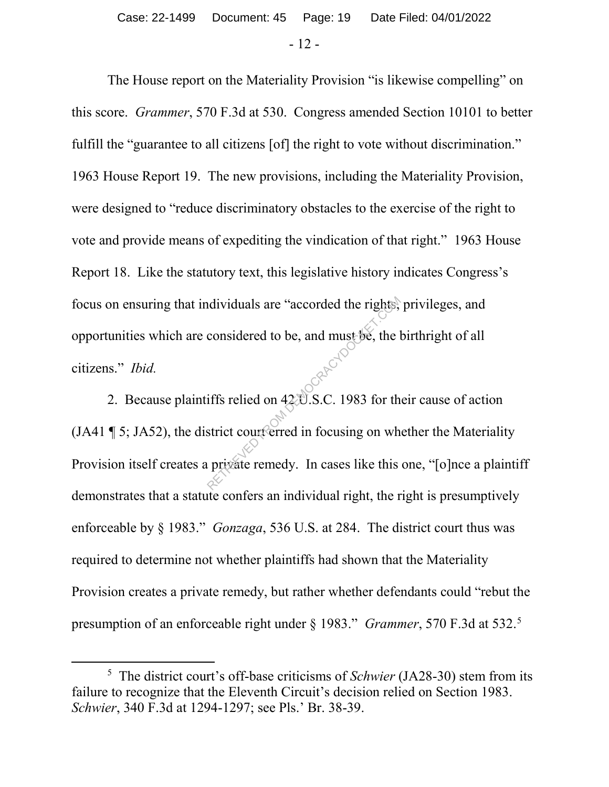- 12 -

The House report on the Materiality Provision "is likewise compelling" on this score. *Grammer*, 570 F.3d at 530. Congress amended Section 10101 to better fulfill the "guarantee to all citizens [of] the right to vote without discrimination." 1963 House Report 19. The new provisions, including the Materiality Provision, were designed to "reduce discriminatory obstacles to the exercise of the right to vote and provide means of expediting the vindication of that right." 1963 House Report 18. Like the statutory text, this legislative history indicates Congress's focus on ensuring that individuals are "accorded the rights, privileges, and opportunities which are considered to be, and must be, the birthright of all citizens." *Ibid.*

2. Because plaintiffs relied on 42 U.S.C. 1983 for their cause of action (JA41  $\P$  5; JA52), the district court erred in focusing on whether the Materiality Provision itself creates a private remedy. In cases like this one, "[o]nce a plaintiff demonstrates that a statute confers an individual right, the right is presumptively enforceable by § 1983." *Gonzaga*, 536 U.S. at 284. The district court thus was required to determine not whether plaintiffs had shown that the Materiality Provision creates a private remedy, but rather whether defendants could "rebut the presumption of an enforceable right under § 1983." *Grammer*, 570 F.3d at 532. 5 Representative and must be, the last sensidered to be, and must be, the last sensidered to be, and must be, the last of the lifts relied on 42 D.S.C. 1983 for the strict court erred in focusing on when private remedy. In c

 $\frac{1}{5}$ <sup>5</sup> The district court's off-base criticisms of *Schwier* (JA28-30) stem from its failure to recognize that the Eleventh Circuit's decision relied on Section 1983. *Schwier*, 340 F.3d at 1294-1297; see Pls.' Br. 38-39.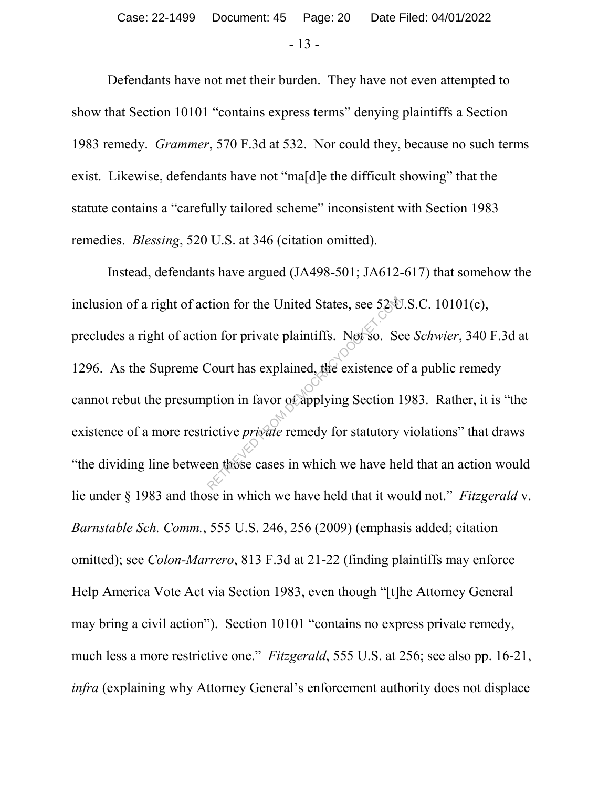- 13 -

Defendants have not met their burden. They have not even attempted to show that Section 10101 "contains express terms" denying plaintiffs a Section 1983 remedy. *Grammer*, 570 F.3d at 532. Nor could they, because no such terms exist. Likewise, defendants have not "ma[d]e the difficult showing" that the statute contains a "carefully tailored scheme" inconsistent with Section 1983 remedies. *Blessing*, 520 U.S. at 346 (citation omitted).

Instead, defendants have argued (JA498-501; JA612-617) that somehow the inclusion of a right of action for the United States, see 52 U.S.C. 10101(c), precludes a right of action for private plaintiffs. Not so. See *Schwier*, 340 F.3d at 1296. As the Supreme Court has explained, the existence of a public remedy cannot rebut the presumption in favor of applying Section 1983. Rather, it is "the existence of a more restrictive *private* remedy for statutory violations" that draws "the dividing line between those cases in which we have held that an action would lie under § 1983 and those in which we have held that it would not." *Fitzgerald* v. *Barnstable Sch. Comm.*, 555 U.S. 246, 256 (2009) (emphasis added; citation omitted); see *Colon-Marrero*, 813 F.3d at 21-22 (finding plaintiffs may enforce Help America Vote Act via Section 1983, even though "[t]he Attorney General may bring a civil action"). Section 10101 "contains no express private remedy, much less a more restrictive one." *Fitzgerald*, 555 U.S. at 256; see also pp. 16-21, *infra* (explaining why Attorney General's enforcement authority does not displace The United States, see 5250<br>Son for private plaintiffs. Not so. Section is explained, the existence continuous metapolying Section 1<br>Fictive *private* remedy for statutory<br>en those cases in which we have he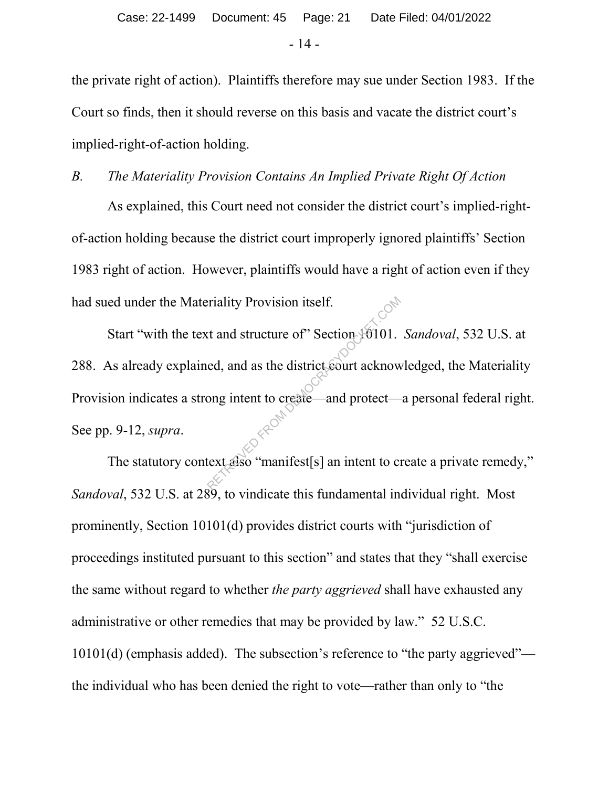the private right of action). Plaintiffs therefore may sue under Section 1983. If the Court so finds, then it should reverse on this basis and vacate the district court's implied-right-of-action holding.

# *B. The Materiality Provision Contains An Implied Private Right Of Action*

As explained, this Court need not consider the district court's implied-rightof-action holding because the district court improperly ignored plaintiffs' Section 1983 right of action. However, plaintiffs would have a right of action even if they had sued under the Materiality Provision itself.

Start "with the text and structure of" Section 1011. Sandoval, 532 U.S. at 288. As already explained, and as the district court acknowledged, the Materiality Provision indicates a strong intent to create—and protect—a personal federal right. See pp. 9-12, *supra*. eriality Provision itself.<br>
Ext and structure of Section 10101.<br>
ed, and as the district court acknow<br>
ong intent to create—and protect—<br>
ext also "manifest[s] an intent to create.

The statutory context also "manifest[s] an intent to create a private remedy," *Sandoval*, 532 U.S. at 289, to vindicate this fundamental individual right. Most prominently, Section 10101(d) provides district courts with "jurisdiction of proceedings instituted pursuant to this section" and states that they "shall exercise the same without regard to whether *the party aggrieved* shall have exhausted any administrative or other remedies that may be provided by law." 52 U.S.C. 10101(d) (emphasis added). The subsection's reference to "the party aggrieved" the individual who has been denied the right to vote—rather than only to "the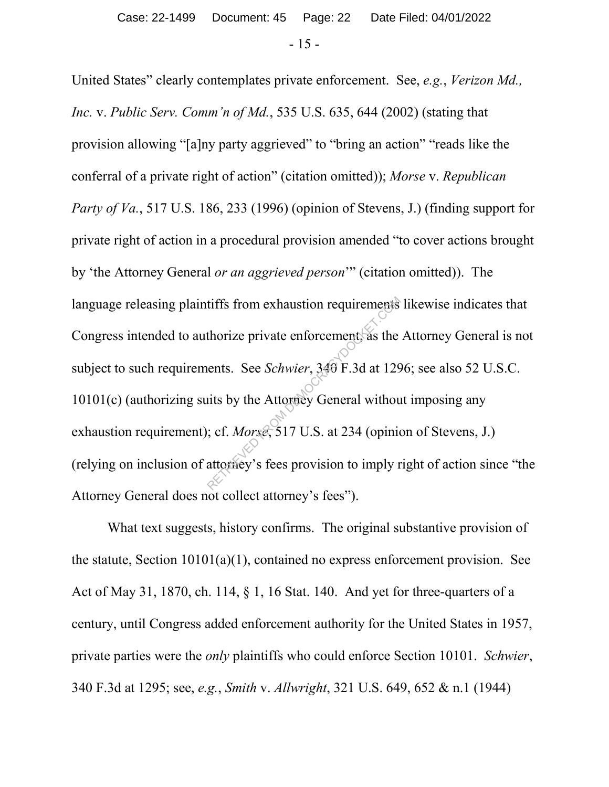United States" clearly contemplates private enforcement. See, *e.g.*, *Verizon Md., Inc.* v. *Public Serv. Comm'n of Md.*, 535 U.S. 635, 644 (2002) (stating that provision allowing "[a]ny party aggrieved" to "bring an action" "reads like the conferral of a private right of action" (citation omitted)); *Morse* v. *Republican Party of Va.*, 517 U.S. 186, 233 (1996) (opinion of Stevens, J.) (finding support for private right of action in a procedural provision amended "to cover actions brought by 'the Attorney General *or an aggrieved person*'" (citation omitted)). The language releasing plaintiffs from exhaustion requirements likewise indicates that Congress intended to authorize private enforcement, as the Attorney General is not subject to such requirements. See *Schwier*, 340 F.3d at 1296; see also 52 U.S.C. 10101(c) (authorizing suits by the Attorney General without imposing any exhaustion requirement); cf. *Morse*, 517 U.S. at 234 (opinion of Stevens, J.) (relying on inclusion of attorney's fees provision to imply right of action since "the Attorney General does not collect attorney's fees"). tiffs from exhaustion requirements<br>thorize private enforcement as the<br>lents. See *Schwier*, 349 F.3d at 129<br>its by the Attorney General withou<br>; cf. *Morse*, 517 U.S. at 234 (opinion<br>attorney's fees provision to imply r

What text suggests, history confirms. The original substantive provision of the statute, Section 10101(a)(1), contained no express enforcement provision. See Act of May 31, 1870, ch. 114, § 1, 16 Stat. 140. And yet for three-quarters of a century, until Congress added enforcement authority for the United States in 1957, private parties were the *only* plaintiffs who could enforce Section 10101. *Schwier*, 340 F.3d at 1295; see, *e.g.*, *Smith* v. *Allwright*, 321 U.S. 649, 652 & n.1 (1944)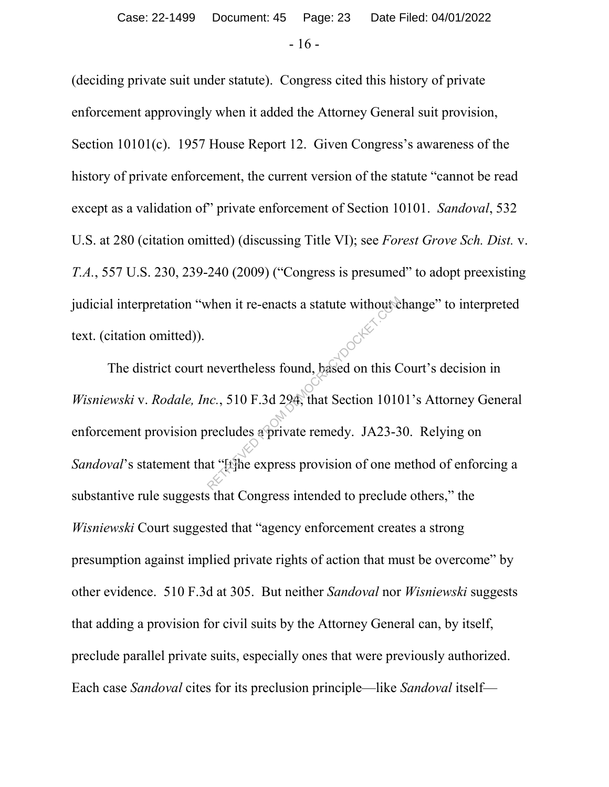# - 16 - Case: 22-1499 Document: 45 Page: 23 Date Filed: 04/01/2022

(deciding private suit under statute). Congress cited this history of private enforcement approvingly when it added the Attorney General suit provision, Section 10101(c). 1957 House Report 12. Given Congress's awareness of the history of private enforcement, the current version of the statute "cannot be read except as a validation of" private enforcement of Section 10101. *Sandoval*, 532 U.S. at 280 (citation omitted) (discussing Title VI); see *Forest Grove Sch. Dist.* v. *T.A.*, 557 U.S. 230, 239-240 (2009) ("Congress is presumed" to adopt preexisting judicial interpretation "when it re-enacts a statute without change" to interpreted text. (citation omitted)).

The district court nevertheless found, based on this Court's decision in *Wisniewski* v. *Rodale, Inc.*, 510 F.3d 294, that Section 10101's Attorney General enforcement provision precludes a private remedy. JA23-30. Relying on *Sandoval*'s statement that "[t]he express provision of one method of enforcing a substantive rule suggests that Congress intended to preclude others," the *Wisniewski* Court suggested that "agency enforcement creates a strong presumption against implied private rights of action that must be overcome" by other evidence. 510 F.3d at 305. But neither *Sandoval* nor *Wisniewski* suggests that adding a provision for civil suits by the Attorney General can, by itself, preclude parallel private suits, especially ones that were previously authorized. Each case *Sandoval* cites for its preclusion principle—like *Sandoval* itself when it re-enacts a statute without<br>nevertheless found, based on this C<br>*uc.*, 510 F.3d 294, that Section 1010<br>recludes a private remedy. JA23-3<br>at "File express provision of one n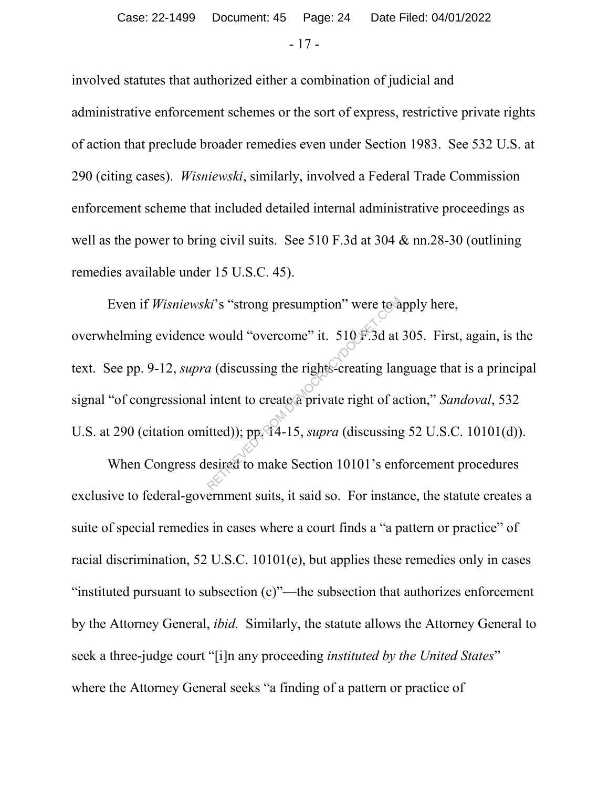- 17 -

involved statutes that authorized either a combination of judicial and administrative enforcement schemes or the sort of express, restrictive private rights of action that preclude broader remedies even under Section 1983. See 532 U.S. at 290 (citing cases). *Wisniewski*, similarly, involved a Federal Trade Commission enforcement scheme that included detailed internal administrative proceedings as well as the power to bring civil suits. See 510 F.3d at 304 & nn.28-30 (outlining remedies available under 15 U.S.C. 45).

Even if *Wisniewski*'s "strong presumption" were to apply here, overwhelming evidence would "overcome" it. 510 F.3d at 305. First, again, is the text. See pp. 9-12, *supra* (discussing the rights-creating language that is a principal signal "of congressional intent to create a private right of action," *Sandoval*, 532 U.S. at 290 (citation omitted)); pp. 14-15, *supra* (discussing 52 U.S.C. 10101(d)). ki's "strong presumption" were to a<br>would "overcome" it. 510 F.3d at<br>a (discussing the rights-creating lan<br>intent to create a private right of a<br>itted)); pp. 14-15, *supra* (discussing<br>esired to make Section 10101's enf

When Congress desired to make Section 10101's enforcement procedures exclusive to federal-government suits, it said so. For instance, the statute creates a suite of special remedies in cases where a court finds a "a pattern or practice" of racial discrimination, 52 U.S.C. 10101(e), but applies these remedies only in cases "instituted pursuant to subsection (c)"—the subsection that authorizes enforcement by the Attorney General, *ibid.* Similarly, the statute allows the Attorney General to seek a three-judge court "[i]n any proceeding *instituted by the United States*" where the Attorney General seeks "a finding of a pattern or practice of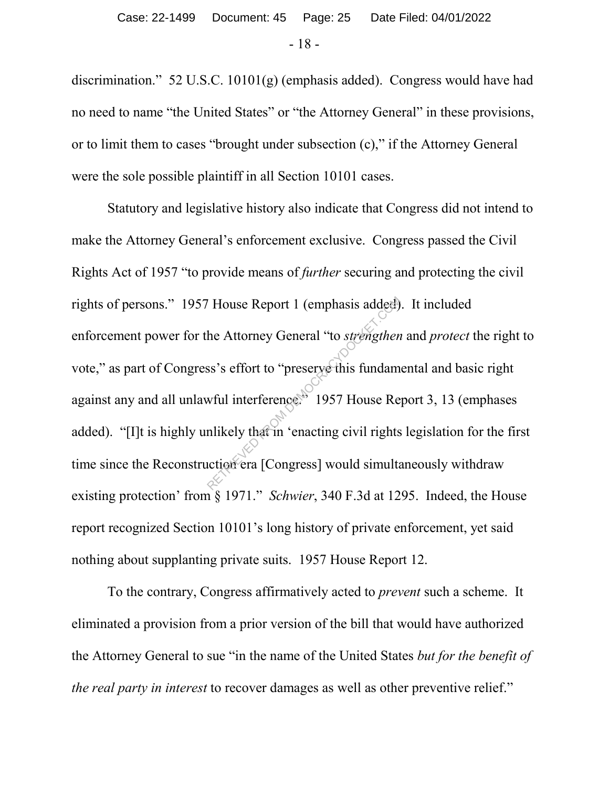discrimination." 52 U.S.C. 10101(g) (emphasis added). Congress would have had no need to name "the United States" or "the Attorney General" in these provisions, or to limit them to cases "brought under subsection (c)," if the Attorney General were the sole possible plaintiff in all Section 10101 cases.

Statutory and legislative history also indicate that Congress did not intend to make the Attorney General's enforcement exclusive. Congress passed the Civil Rights Act of 1957 "to provide means of *further* securing and protecting the civil rights of persons." 1957 House Report 1 (emphasis added). It included enforcement power for the Attorney General "to *strengthen* and *protect* the right to vote," as part of Congress's effort to "preserve this fundamental and basic right against any and all unlawful interference." 1957 House Report 3, 13 (emphases added). "[I]t is highly unlikely that in 'enacting civil rights legislation for the first time since the Reconstruction era [Congress] would simultaneously withdraw existing protection' from § 1971." *Schwier*, 340 F.3d at 1295. Indeed, the House report recognized Section 10101's long history of private enforcement, yet said nothing about supplanting private suits. 1957 House Report 12. The Attorney General "to *strengthen*<br>
She Attorney General "to *strengthen*<br>
She short to "preserve this fundam<br>
What in terference." 1957 House Re<br>
Inlikely that in 'enacting civil rights<br>
Interval [Congress] would simul

To the contrary, Congress affirmatively acted to *prevent* such a scheme. It eliminated a provision from a prior version of the bill that would have authorized the Attorney General to sue "in the name of the United States *but for the benefit of the real party in interest* to recover damages as well as other preventive relief."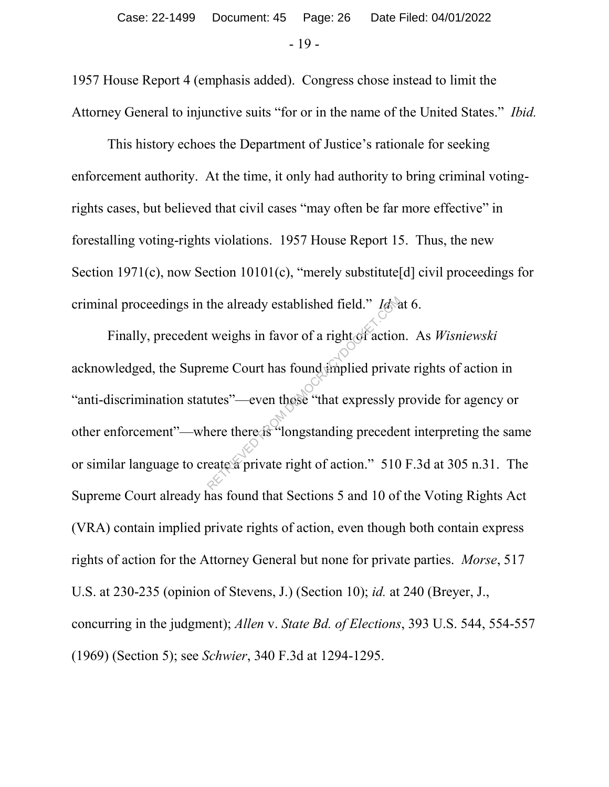1957 House Report 4 (emphasis added). Congress chose instead to limit the Attorney General to injunctive suits "for or in the name of the United States." *Ibid.*

This history echoes the Department of Justice's rationale for seeking enforcement authority. At the time, it only had authority to bring criminal votingrights cases, but believed that civil cases "may often be far more effective" in forestalling voting-rights violations. 1957 House Report 15. Thus, the new Section 1971(c), now Section 10101(c), "merely substitute[d] civil proceedings for criminal proceedings in the already established field." *Id.* at 6.

Finally, precedent weighs in favor of a right of action. As *Wisniewski*  acknowledged, the Supreme Court has found implied private rights of action in "anti-discrimination statutes"—even those "that expressly provide for agency or other enforcement"—where there is "longstanding precedent interpreting the same or similar language to create a private right of action." 510 F.3d at 305 n.31. The Supreme Court already has found that Sections 5 and 10 of the Voting Rights Act (VRA) contain implied private rights of action, even though both contain express rights of action for the Attorney General but none for private parties. *Morse*, 517 U.S. at 230-235 (opinion of Stevens, J.) (Section 10); *id.* at 240 (Breyer, J., concurring in the judgment); *Allen* v. *State Bd. of Elections*, 393 U.S. 544, 554-557 (1969) (Section 5); see *Schwier*, 340 F.3d at 1294-1295. the already established field." Idea<br>
Exercise the very set of a right of action<br>
eme Court has found implied privaries<br>
utes"—even those "that expressly privare there is "longstanding preceder<br>
eate a private right of act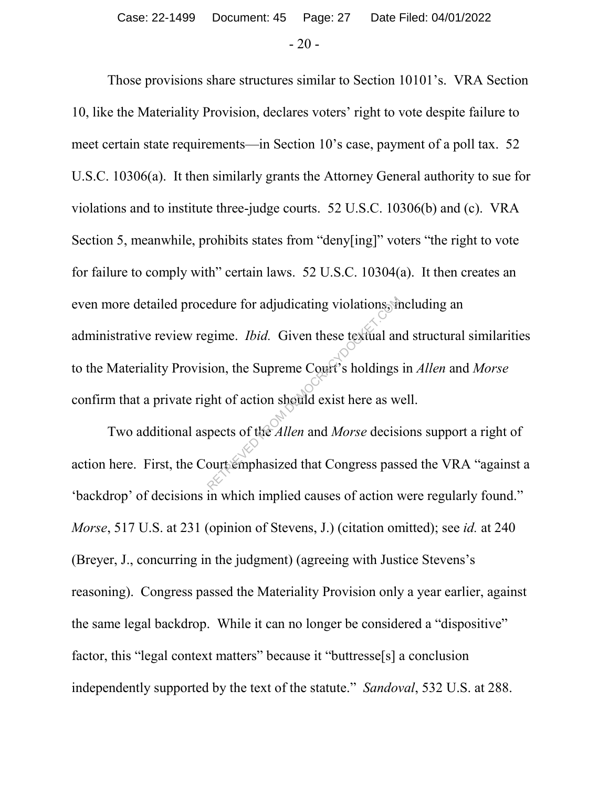Those provisions share structures similar to Section 10101's. VRA Section 10, like the Materiality Provision, declares voters' right to vote despite failure to meet certain state requirements—in Section 10's case, payment of a poll tax. 52 U.S.C. 10306(a). It then similarly grants the Attorney General authority to sue for violations and to institute three-judge courts. 52 U.S.C. 10306(b) and (c). VRA Section 5, meanwhile, prohibits states from "deny[ing]" voters "the right to vote for failure to comply with" certain laws. 52 U.S.C. 10304(a). It then creates an even more detailed procedure for adjudicating violations, including an administrative review regime. *Ibid.* Given these textual and structural similarities to the Materiality Provision, the Supreme Court's holdings in *Allen* and *Morse* confirm that a private right of action should exist here as well. Exercise of the Allen and Morse desired as<br>perfective of the Supreme Court's holdings<br>ght of action should exist here as we<br>pects of the *Allen* and Morse decision<br>ourtemphasized that Congress pass

Two additional aspects of the *Allen* and *Morse* decisions support a right of action here. First, the Court emphasized that Congress passed the VRA "against a 'backdrop' of decisions in which implied causes of action were regularly found." *Morse*, 517 U.S. at 231 (opinion of Stevens, J.) (citation omitted); see *id.* at 240 (Breyer, J., concurring in the judgment) (agreeing with Justice Stevens's reasoning). Congress passed the Materiality Provision only a year earlier, against the same legal backdrop. While it can no longer be considered a "dispositive" factor, this "legal context matters" because it "buttresse[s] a conclusion independently supported by the text of the statute." *Sandoval*, 532 U.S. at 288.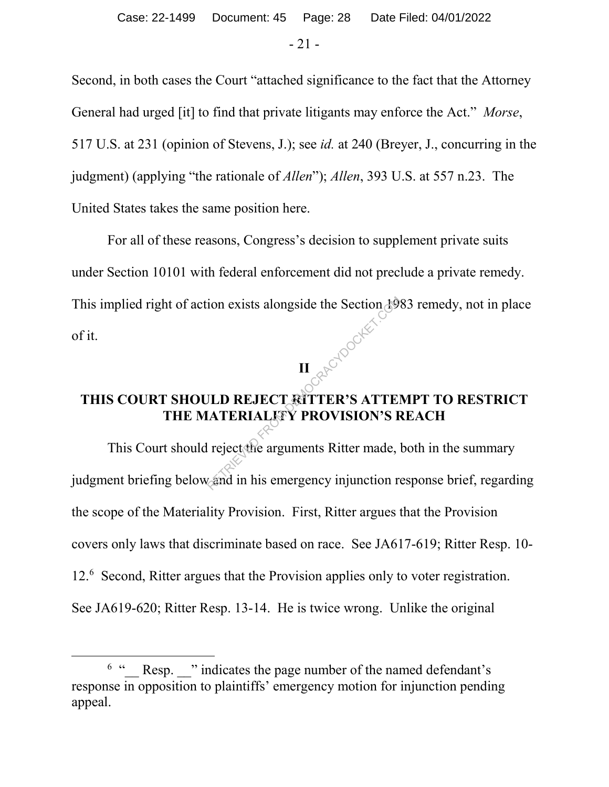$-21 -$ 

Second, in both cases the Court "attached significance to the fact that the Attorney General had urged [it] to find that private litigants may enforce the Act." *Morse*, 517 U.S. at 231 (opinion of Stevens, J.); see *id.* at 240 (Breyer, J., concurring in the judgment) (applying "the rationale of *Allen*"); *Allen*, 393 U.S. at 557 n.23. The United States takes the same position here.

For all of these reasons, Congress's decision to supplement private suits under Section 10101 with federal enforcement did not preclude a private remedy. This implied right of action exists alongside the Section 1983 remedy, not in place of it.

**II**

# **THIS COURT SHOULD REJECT RITTER'S ATTEMPT TO RESTRICT THE MATERIALITY PROVISION'S REACH**

This Court should reject the arguments Ritter made, both in the summary judgment briefing below and in his emergency injunction response brief, regarding the scope of the Materiality Provision. First, Ritter argues that the Provision covers only laws that discriminate based on race. See JA617-619; Ritter Resp. 10- 12.6 Second, Ritter argues that the Provision applies only to voter registration. See JA619-620; Ritter Resp. 13-14. He is twice wrong. Unlike the original ion exists alongside the Section 19<br>
II<br>
ILD REJECT RITTER'S ATTEI<br>
IATERIALLY PROVISION'S F<br>
leining reject the arguments Ritter made, lead in his emergency injunction research

 <sup>6</sup>  $^6$  " Resp. " indicates the page number of the named defendant's response in opposition to plaintiffs' emergency motion for injunction pending appeal.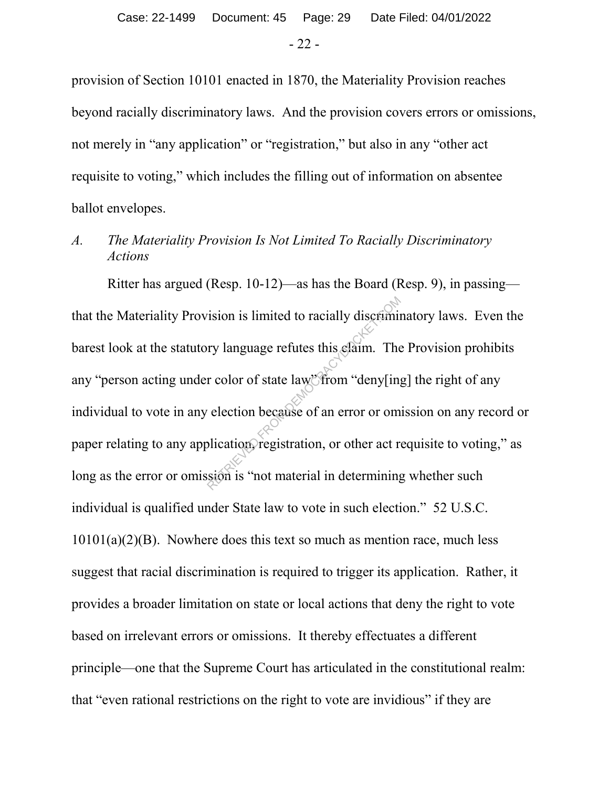provision of Section 10101 enacted in 1870, the Materiality Provision reaches beyond racially discriminatory laws. And the provision covers errors or omissions, not merely in "any application" or "registration," but also in any "other act requisite to voting," which includes the filling out of information on absentee ballot envelopes.

# *A. The Materiality Provision Is Not Limited To Racially Discriminatory Actions*

Ritter has argued (Resp. 10-12)—as has the Board (Resp. 9), in passing that the Materiality Provision is limited to racially discriminatory laws. Even the barest look at the statutory language refutes this claim. The Provision prohibits any "person acting under color of state law" from "deny[ing] the right of any individual to vote in any election because of an error or omission on any record or paper relating to any application, registration, or other act requisite to voting," as long as the error or omission is "not material in determining whether such individual is qualified under State law to vote in such election." 52 U.S.C.  $10101(a)(2)(B)$ . Nowhere does this text so much as mention race, much less suggest that racial discrimination is required to trigger its application. Rather, it provides a broader limitation on state or local actions that deny the right to vote based on irrelevant errors or omissions. It thereby effectuates a different principle—one that the Supreme Court has articulated in the constitutional realm: that "even rational restrictions on the right to vote are invidious" if they are rision is limited to racially discriminty<br>ry language refutes this elaim. The<br>r color of state law? from "deny[ing<br>election because of an error or om<br>blication registration, or other act r<br>sion is "not material in determin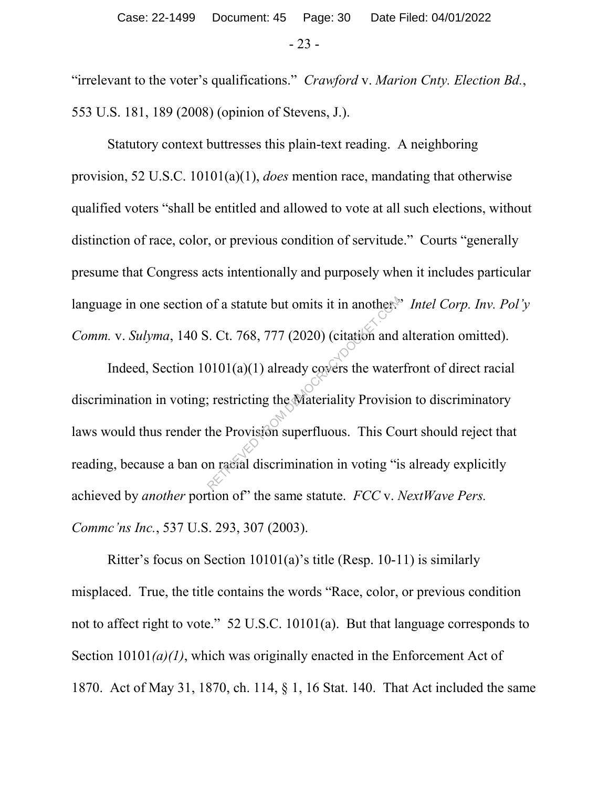"irrelevant to the voter's qualifications." *Crawford* v. *Marion Cnty. Election Bd.*, 553 U.S. 181, 189 (2008) (opinion of Stevens, J.).

Statutory context buttresses this plain-text reading. A neighboring provision, 52 U.S.C. 10101(a)(1), *does* mention race, mandating that otherwise qualified voters "shall be entitled and allowed to vote at all such elections, without distinction of race, color, or previous condition of servitude." Courts "generally presume that Congress acts intentionally and purposely when it includes particular language in one section of a statute but omits it in another.<sup>35</sup> *Intel Corp. Inv. Pol'y Comm.* v. *Sulyma*, 140 S. Ct. 768, 777 (2020) (citation and alteration omitted).

Indeed, Section  $10101(a)(1)$  already covers the waterfront of direct racial discrimination in voting; restricting the Materiality Provision to discriminatory laws would thus render the Provision superfluous. This Court should reject that reading, because a ban on racial discrimination in voting "is already explicitly achieved by *another* portion of" the same statute. *FCC* v. *NextWave Pers. Commc'ns Inc.*, 537 U.S. 293, 307 (2003). of a statute but omits it in another.<br>
S. Ct. 768, 777 (2020) (citation and<br>
20101(a)(1) already covers the water<br>
; restricting the Materiality Provision<br>
the Provision superfluous. This Contracted in the Contracted State

Ritter's focus on Section 10101(a)'s title (Resp. 10-11) is similarly misplaced. True, the title contains the words "Race, color, or previous condition not to affect right to vote." 52 U.S.C. 10101(a). But that language corresponds to Section 10101*(a)(1)*, which was originally enacted in the Enforcement Act of 1870. Act of May 31, 1870, ch. 114, § 1, 16 Stat. 140. That Act included the same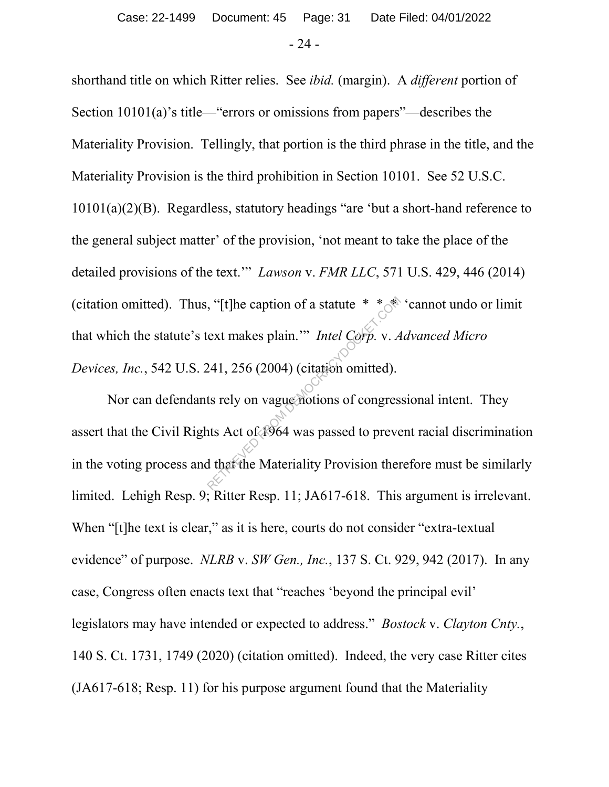shorthand title on which Ritter relies. See *ibid.* (margin). A *different* portion of Section 10101(a)'s title—"errors or omissions from papers"—describes the Materiality Provision. Tellingly, that portion is the third phrase in the title, and the Materiality Provision is the third prohibition in Section 10101. See 52 U.S.C. 10101(a)(2)(B). Regardless, statutory headings "are 'but a short-hand reference to the general subject matter' of the provision, 'not meant to take the place of the detailed provisions of the text.'" *Lawson* v. *FMR LLC*, 571 U.S. 429, 446 (2014) (citation omitted). Thus, "[t]he caption of a statute  $* * *$  'cannot undo or limit that which the statute's text makes plain.'" *Intel Corp.* v. *Advanced Micro Devices, Inc.*, 542 U.S. 241, 256 (2004) (citation omitted).

Nor can defendants rely on vague notions of congressional intent. They assert that the Civil Rights Act of 1964 was passed to prevent racial discrimination in the voting process and that the Materiality Provision therefore must be similarly limited. Lehigh Resp. 9; Ritter Resp. 11; JA617-618. This argument is irrelevant. When "[t]he text is clear," as it is here, courts do not consider "extra-textual" evidence" of purpose. *NLRB* v. *SW Gen., Inc.*, 137 S. Ct. 929, 942 (2017). In any case, Congress often enacts text that "reaches 'beyond the principal evil' legislators may have intended or expected to address." *Bostock* v. *Clayton Cnty.*, 140 S. Ct. 1731, 1749 (2020) (citation omitted). Indeed, the very case Ritter cites (JA617-618; Resp. 11) for his purpose argument found that the Materiality ext makes plain." *Intel Corp.* v. A<br>
241, 256 (2004) (citation omitted).<br>
ts rely on vague notions of congres<br>
ats Act of 1964 was passed to preve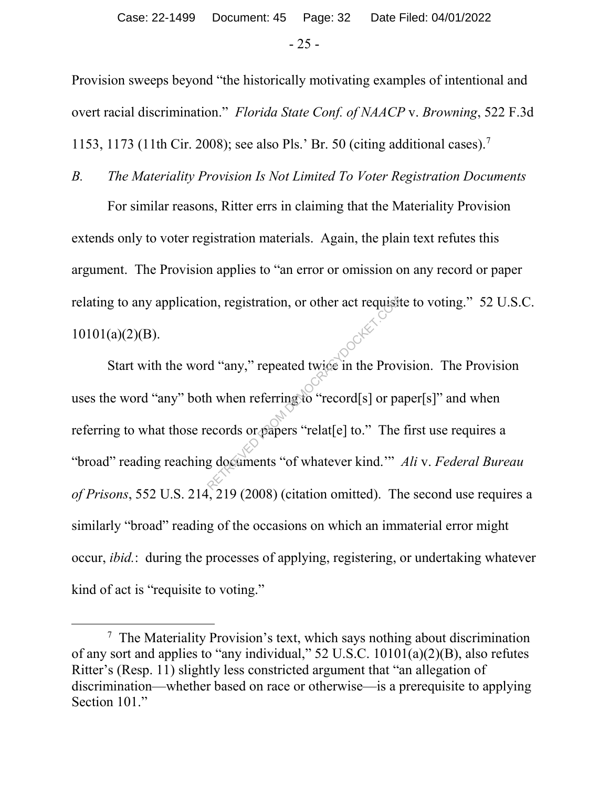Provision sweeps beyond "the historically motivating examples of intentional and overt racial discrimination." *Florida State Conf. of NAACP* v. *Browning*, 522 F.3d 1153, 1173 (11th Cir. 2008); see also Pls.' Br. 50 (citing additional cases). 7

*B. The Materiality Provision Is Not Limited To Voter Registration Documents* For similar reasons, Ritter errs in claiming that the Materiality Provision extends only to voter registration materials. Again, the plain text refutes this argument. The Provision applies to "an error or omission on any record or paper relating to any application, registration, or other act requisite to voting." 52 U.S.C.  $10101(a)(2)(B)$ .

Start with the word "any," repeated twice in the Provision. The Provision uses the word "any" both when referring to "record[s] or paper[s]" and when referring to what those records or papers "relat[e] to." The first use requires a "broad" reading reaching documents "of whatever kind.'" *Ali* v. *Federal Bureau of Prisons*, 552 U.S. 214, 219 (2008) (citation omitted). The second use requires a similarly "broad" reading of the occasions on which an immaterial error might occur, *ibid.*: during the processes of applying, registering, or undertaking whatever kind of act is "requisite to voting." on, registration, or other act requisite<br>
d "any," repeated twice in the Prov<br>
h when referring to "record[s] or pa<br>
ecords or papers "relat[e] to." The<br>
g documents "of whatever kind.""

 <sup>7</sup>  $7$  The Materiality Provision's text, which says nothing about discrimination of any sort and applies to "any individual," 52 U.S.C. 10101(a)(2)(B), also refutes Ritter's (Resp. 11) slightly less constricted argument that "an allegation of discrimination—whether based on race or otherwise—is a prerequisite to applying Section 101."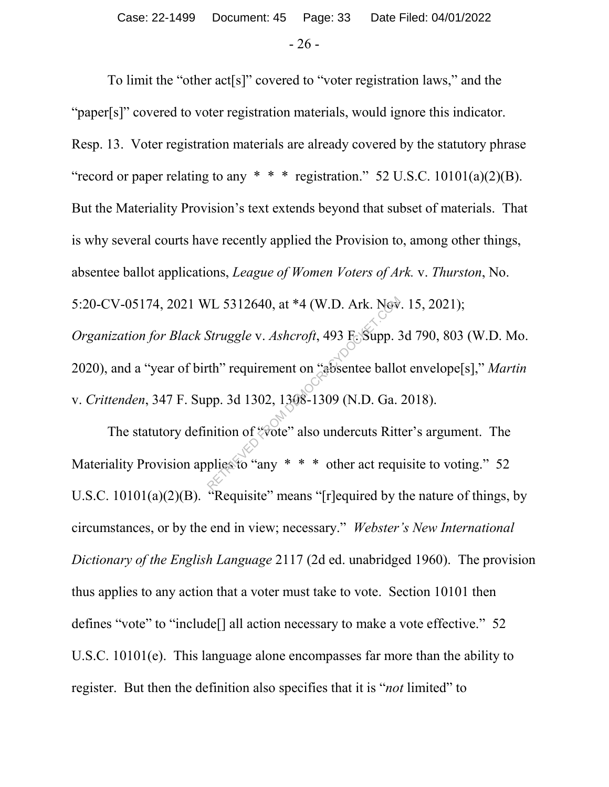To limit the "other act[s]" covered to "voter registration laws," and the "paper[s]" covered to voter registration materials, would ignore this indicator. Resp. 13. Voter registration materials are already covered by the statutory phrase "record or paper relating to any  $* * *$  registration." 52 U.S.C. 10101(a)(2)(B). But the Materiality Provision's text extends beyond that subset of materials. That is why several courts have recently applied the Provision to, among other things, absentee ballot applications, *League of Women Voters of Ark.* v. *Thurston*, No. 5:20-CV-05174, 2021 WL 5312640, at \*4 (W.D. Ark. Nov. 15, 2021); *Organization for Black Struggle* v. *Ashcroft*, 493 F. Supp. 3d 790, 803 (W.D. Mo. 2020), and a "year of birth" requirement on "absentee ballot envelope[s]," *Martin* v. *Crittenden*, 347 F. Supp. 3d 1302, 1308-1309 (N.D. Ga. 2018). VL 5312640, at \*4 (W.D. Ark. Now<br>Struggle v. Ashcroft, 493 F. Supp. 3<br>th" requirement on "absentee ballo<br>pp. 3d 1302, 1308-1309 (N.D. Ga.<br>nition of "vote" also undercuts Ritt<br>plies to "any \* \* \* other act requ

The statutory definition of "vote" also undercuts Ritter's argument. The Materiality Provision applies to "any \* \* \* other act requisite to voting." 52 U.S.C.  $10101(a)(2)(B)$ . "Requisite" means "[r]equired by the nature of things, by circumstances, or by the end in view; necessary." *Webster's New International Dictionary of the English Language* 2117 (2d ed. unabridged 1960). The provision thus applies to any action that a voter must take to vote. Section 10101 then defines "vote" to "include[] all action necessary to make a vote effective." 52 U.S.C. 10101(e). This language alone encompasses far more than the ability to register. But then the definition also specifies that it is "*not* limited" to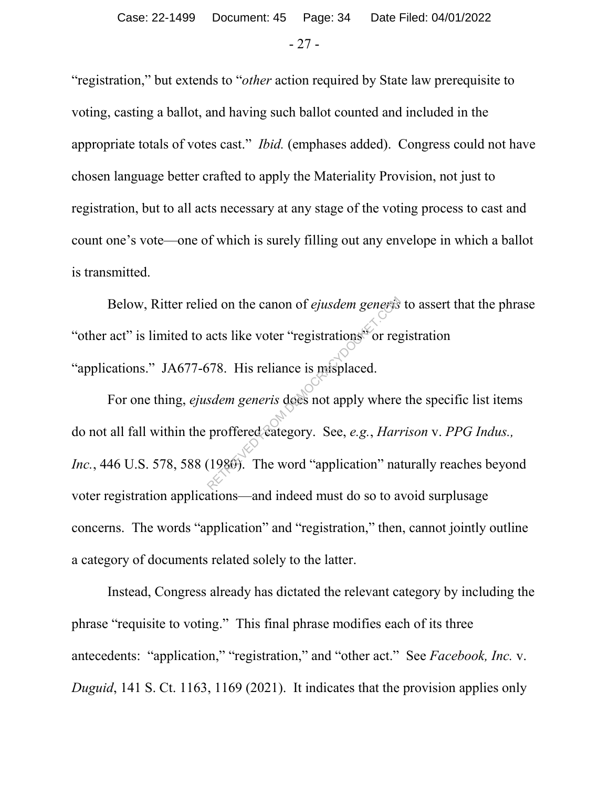"registration," but extends to "*other* action required by State law prerequisite to voting, casting a ballot, and having such ballot counted and included in the appropriate totals of votes cast." *Ibid.* (emphases added). Congress could not have chosen language better crafted to apply the Materiality Provision, not just to registration, but to all acts necessary at any stage of the voting process to cast and count one's vote—one of which is surely filling out any envelope in which a ballot is transmitted.

Below, Ritter relied on the canon of *ejusdem generis* to assert that the phrase "other act" is limited to acts like voter "registrations" or registration "applications." JA677-678. His reliance is misplaced.

For one thing, *ejusdem generis* does not apply where the specific list items do not all fall within the proffered category. See, *e.g.*, *Harrison* v. *PPG Indus., Inc.*, 446 U.S. 578, 588 (1980). The word "application" naturally reaches beyond voter registration applications—and indeed must do so to avoid surplusage concerns. The words "application" and "registration," then, cannot jointly outline a category of documents related solely to the latter. red on the canon of *ejusdem generis*<br>acts like voter "registrations" or reg<br>578. His reliance is misplaced.<br>sdem generis does not apply where<br>proffered category. See, e.g., *Hari*<br>(1980). The word "application" na

Instead, Congress already has dictated the relevant category by including the phrase "requisite to voting." This final phrase modifies each of its three antecedents: "application," "registration," and "other act." See *Facebook, Inc.* v. *Duguid*, 141 S. Ct. 1163, 1169 (2021). It indicates that the provision applies only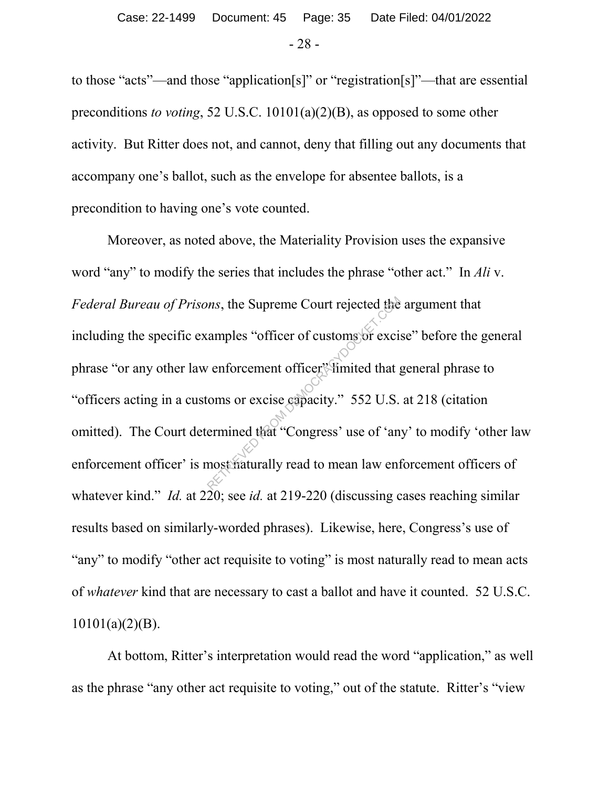to those "acts"—and those "application[s]" or "registration[s]"—that are essential preconditions *to voting*, 52 U.S.C. 10101(a)(2)(B), as opposed to some other activity. But Ritter does not, and cannot, deny that filling out any documents that accompany one's ballot, such as the envelope for absentee ballots, is a precondition to having one's vote counted.

Moreover, as noted above, the Materiality Provision uses the expansive word "any" to modify the series that includes the phrase "other act." In *Ali* v. *Federal Bureau of Prisons*, the Supreme Court rejected the argument that including the specific examples "officer of customs or excise" before the general phrase "or any other law enforcement officer" limited that general phrase to "officers acting in a customs or excise capacity." 552 U.S. at 218 (citation omitted). The Court determined that "Congress' use of 'any' to modify 'other law enforcement officer' is most naturally read to mean law enforcement officers of whatever kind." *Id.* at 220; see *id.* at 219-220 (discussing cases reaching similar results based on similarly-worded phrases). Likewise, here, Congress's use of "any" to modify "other act requisite to voting" is most naturally read to mean acts of *whatever* kind that are necessary to cast a ballot and have it counted. 52 U.S.C. 10101(a)(2)(B). ms, the Supreme Court rejected the<br>amples "officer of customs or excise<br>oms or excise capacity." 552 U.S.<br>ermined that "Congress' use of 'an<br>nost maturally read to mean law end

At bottom, Ritter's interpretation would read the word "application," as well as the phrase "any other act requisite to voting," out of the statute. Ritter's "view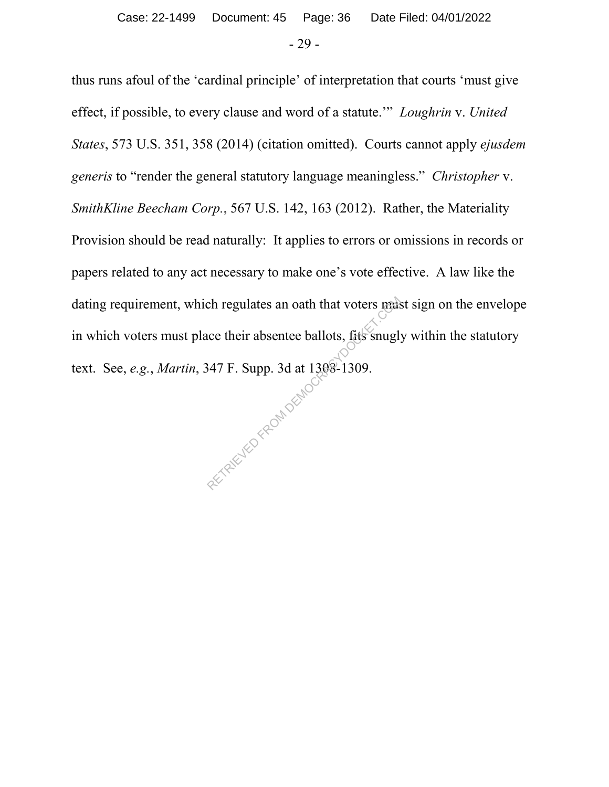thus runs afoul of the 'cardinal principle' of interpretation that courts 'must give effect, if possible, to every clause and word of a statute.'" *Loughrin* v. *United States*, 573 U.S. 351, 358 (2014) (citation omitted). Courts cannot apply *ejusdem generis* to "render the general statutory language meaningless." *Christopher* v. *SmithKline Beecham Corp.*, 567 U.S. 142, 163 (2012). Rather, the Materiality Provision should be read naturally: It applies to errors or omissions in records or papers related to any act necessary to make one's vote effective. A law like the dating requirement, which regulates an oath that voters must sign on the envelope in which voters must place their absentee ballots, fits snugly within the statutory text. See, *e.g.*, *Martin*, 347 F. Supp. 3d at 1308-1309. RETRIEVED FROM DEMOCK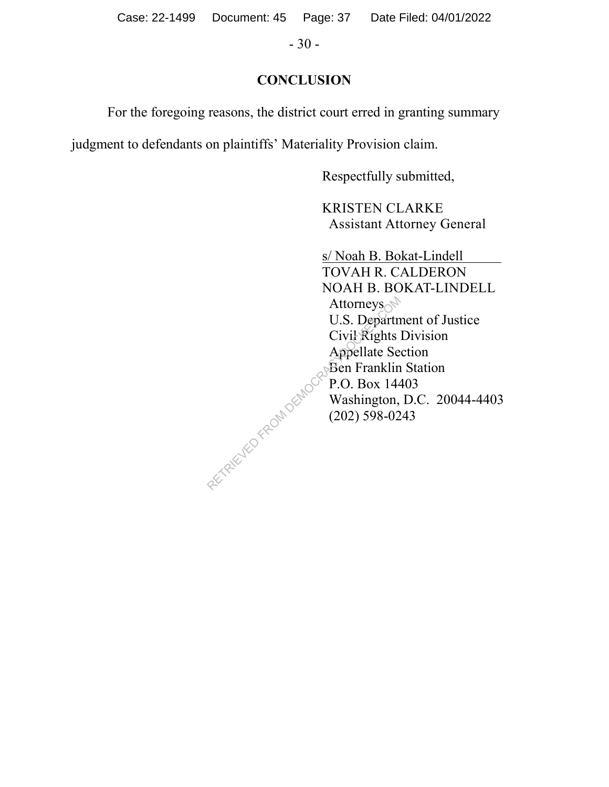Case: 22-1499 Document: 45 Page: 37 Date Filed: 04/01/2022

- 30 -

# **CONCLUSION**

For the foregoing reasons, the district court erred in granting summary

judgment to defendants on plaintiffs' Materiality Provision claim.

Respectfully submitted,

 KRISTEN CLARKE Assistant Attorney General

 s/ Noah B. Bokat-Lindell TOVAH R. CALDERON NOAH B. BOKAT-LINDELL Attorneys $\mathbb{R}^{\mathbb{N}}$  U.S. Department of Justice Civil Rights Division Appellate Section **Ben Franklin Station**  $\degree$  P.O. Box 14403 Washington, D.C. 20044-4403  $(202)$  598-0243 Attorneys<br>
U.S. Departm<br>
Civil Rights<br>
Appellate Se<br>
Ben Franklin<br>
P.O. Box 144<br>
Washington,<br>
(202) 598-02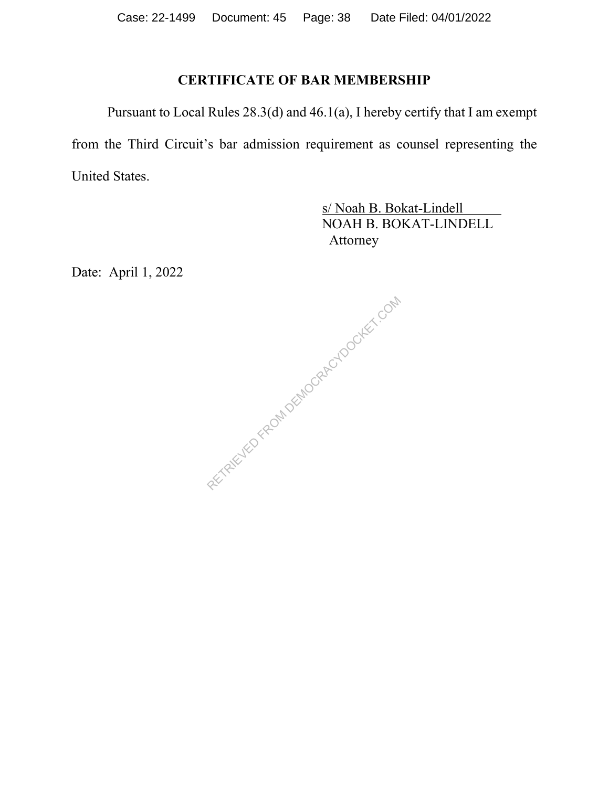# **CERTIFICATE OF BAR MEMBERSHIP**

Pursuant to Local Rules 28.3(d) and 46.1(a), I hereby certify that I am exempt from the Third Circuit's bar admission requirement as counsel representing the United States.

> s/ Noah B. Bokat-Lindell NOAH B. BOKAT-LINDELL Attorney

Date: April 1, 2022

RETRIEVED FROM DEMOCRACYDOCKET.COM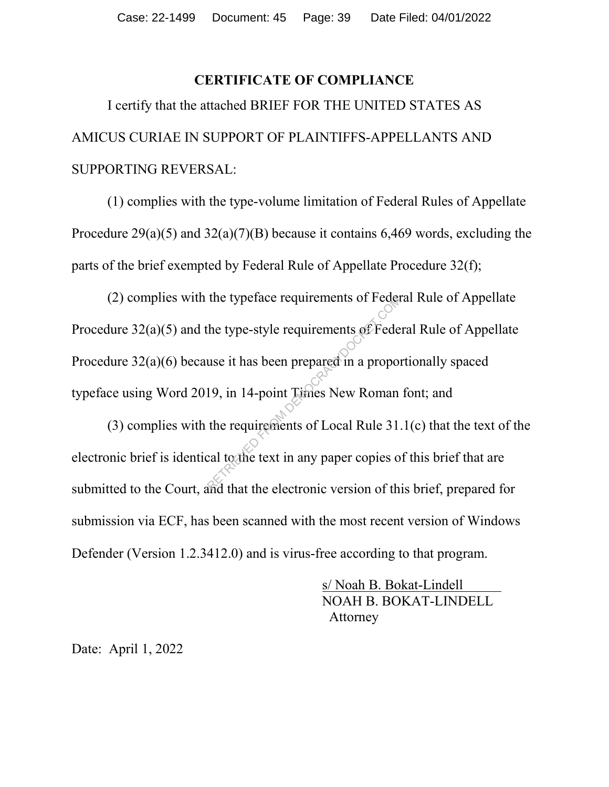#### **CERTIFICATE OF COMPLIANCE**

I certify that the attached BRIEF FOR THE UNITED STATES AS AMICUS CURIAE IN SUPPORT OF PLAINTIFFS-APPELLANTS AND SUPPORTING REVERSAL:

(1) complies with the type-volume limitation of Federal Rules of Appellate Procedure  $29(a)(5)$  and  $32(a)(7)(B)$  because it contains 6,469 words, excluding the parts of the brief exempted by Federal Rule of Appellate Procedure 32(f);

(2) complies with the typeface requirements of Federal Rule of Appellate Procedure 32(a)(5) and the type-style requirements of Federal Rule of Appellate Procedure 32(a)(6) because it has been prepared in a proportionally spaced typeface using Word 2019, in 14-point Times New Roman font; and The type-style requirements of Federation<br>the type-style requirements of Federation<br>19, in 14-point Times New Roman<br>the requirements of Local Rule 31.<br>cal to the text in any paper copies of the that the electronic version

(3) complies with the requirements of Local Rule 31.1(c) that the text of the electronic brief is identical to the text in any paper copies of this brief that are submitted to the Court, and that the electronic version of this brief, prepared for submission via ECF, has been scanned with the most recent version of Windows Defender (Version 1.2.3412.0) and is virus-free according to that program.

> s/ Noah B. Bokat-Lindell NOAH B. BOKAT-LINDELL Attorney

Date: April 1, 2022